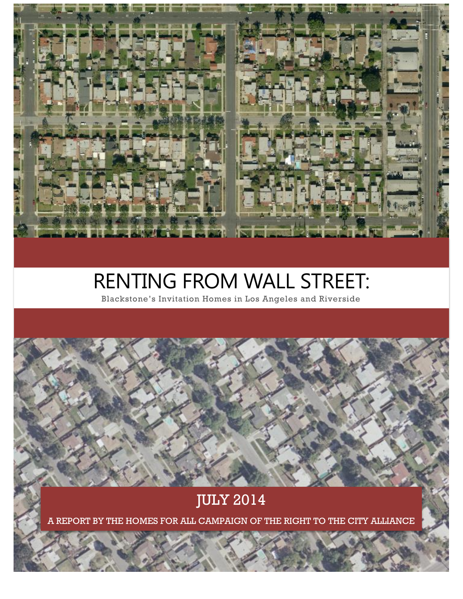# RENTING FROM WALL STREET:

Blackstone's Invitation Homes in Los Angeles and Riverside

# JULY 2014

A REPORT BY THE HOMES FOR ALL CAMPAIGN OF THE RIGHT TO THE CITY ALLIANCE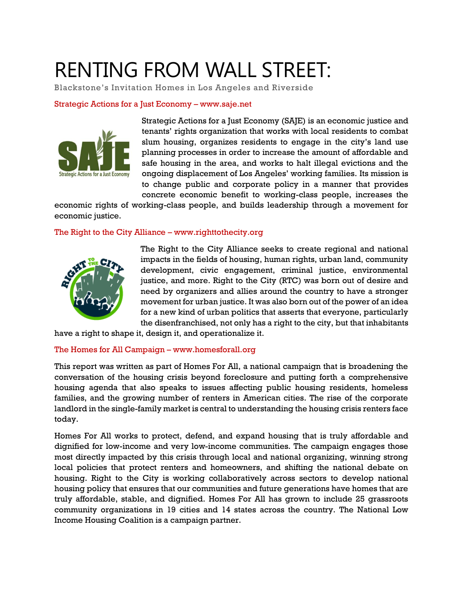# RENTING FROM WALL STREET:

Blackstone's Invitation Homes in Los Angeles and Riverside

#### Strategic Actions for a Just Economy – www.saje.net



Strategic Actions for a Just Economy (SAJE) is an economic justice and tenants' rights organization that works with local residents to combat slum housing, organizes residents to engage in the city's land use planning processes in order to increase the amount of affordable and safe housing in the area, and works to halt illegal evictions and the ongoing displacement of Los Angeles' working families. Its mission is to change public and corporate policy in a manner that provides concrete economic benefit to working-class people, increases the

economic rights of working-class people, and builds leadership through a movement for economic justice.

#### The Right to the City Alliance – www.righttothecity.org



The Right to the City Alliance seeks to create regional and national impacts in the fields of housing, human rights, urban land, community development, civic engagement, criminal justice, environmental justice, and more. Right to the City (RTC) was born out of desire and need by organizers and allies around the country to have a stronger movement for urban justice. It was also born out of the power of an idea for a new kind of urban politics that asserts that everyone, particularly the disenfranchised, not only has a right to the city, but that inhabitants

have a right to shape it, design it, and operationalize it.

#### The Homes for All Campaign – www.homesforall.org

This report was written as part of Homes For All, a national campaign that is broadening the conversation of the housing crisis beyond foreclosure and putting forth a comprehensive housing agenda that also speaks to issues affecting public housing residents, homeless families, and the growing number of renters in American cities. The rise of the corporate landlord in the single-family market is central to understanding the housing crisis renters face today.

Homes For All works to protect, defend, and expand housing that is truly affordable and dignified for low-income and very low-income communities. The campaign engages those most directly impacted by this crisis through local and national organizing, winning strong local policies that protect renters and homeowners, and shifting the national debate on housing. Right to the City is working collaboratively across sectors to develop national housing policy that ensures that our communities and future generations have homes that are truly affordable, stable, and dignified. Homes For All has grown to include 25 grassroots community organizations in 19 cities and 14 states across the country. The National Low Income Housing Coalition is a campaign partner.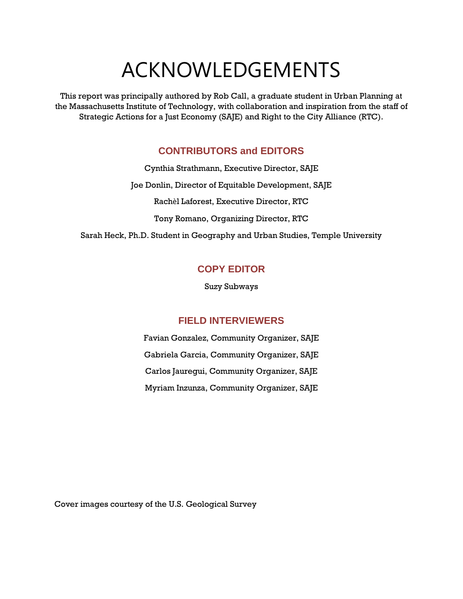# ACKNOWLEDGEMENTS

This report was principally authored by Rob Call, a graduate student in Urban Planning at the Massachusetts Institute of Technology, with collaboration and inspiration from the staff of Strategic Actions for a Just Economy (SAJE) and Right to the City Alliance (RTC).

# **CONTRIBUTORS and EDITORS**

Cynthia Strathmann, Executive Director, SAJE Joe Donlin, Director of Equitable Development, SAJE Rachèl Laforest, Executive Director, RTC Tony Romano, Organizing Director, RTC Sarah Heck, Ph.D. Student in Geography and Urban Studies, Temple University

# **COPY EDITOR**

Suzy Subways

# **FIELD INTERVIEWERS**

Favian Gonzalez, Community Organizer, SAJE Gabriela Garcia, Community Organizer, SAJE Carlos Jauregui, Community Organizer, SAJE Myriam Inzunza, Community Organizer, SAJE

Cover images courtesy of the U.S. Geological Survey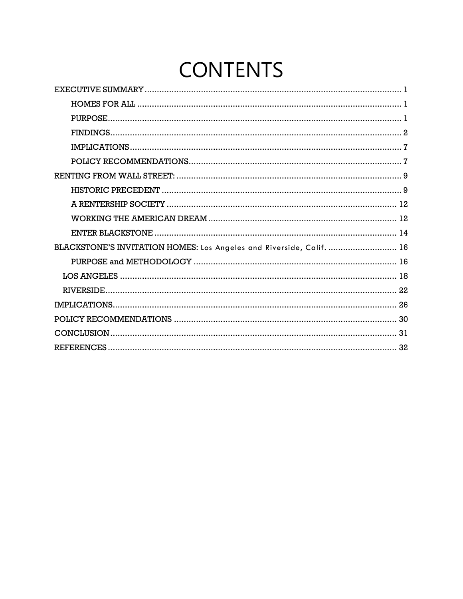# **CONTENTS**

<span id="page-4-0"></span>

| BLACKSTONE'S INVITATION HOMES: Los Angeles and Riverside, Calif.  16 |
|----------------------------------------------------------------------|
|                                                                      |
|                                                                      |
|                                                                      |
| 26                                                                   |
| 30                                                                   |
|                                                                      |
|                                                                      |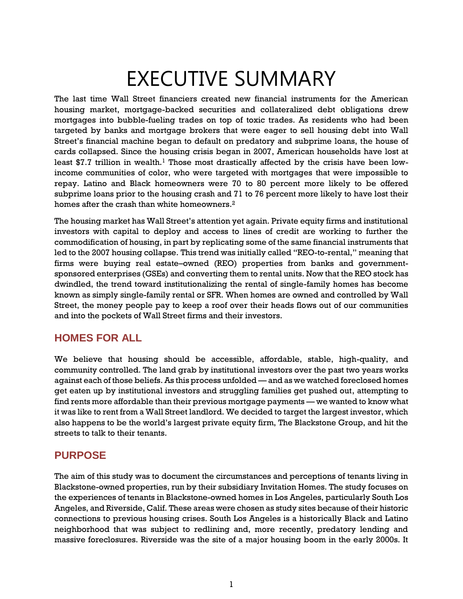# EXECUTIVE SUMMARY

The last time Wall Street financiers created new financial instruments for the American housing market, mortgage-backed securities and collateralized debt obligations drew mortgages into bubble-fueling trades on top of toxic trades. As residents who had been targeted by banks and mortgage brokers that were eager to sell housing debt into Wall Street's financial machine began to default on predatory and subprime loans, the house of cards collapsed. Since the housing crisis began in 2007, American households have lost at least \$7.7 trillion in wealth.<sup>1</sup> Those most drastically affected by the crisis have been lowincome communities of color, who were targeted with mortgages that were impossible to repay. Latino and Black homeowners were 70 to 80 percent more likely to be offered subprime loans prior to the housing crash and 71 to 76 percent more likely to have lost their homes after the crash than white homeowners.<sup>2</sup>

The housing market has Wall Street's attention yet again. Private equity firms and institutional investors with capital to deploy and access to lines of credit are working to further the commodification of housing, in part by replicating some of the same financial instruments that led to the 2007 housing collapse. This trend was initially called "REO-to-rental," meaning that firms were buying real estate–owned (REO) properties from banks and governmentsponsored enterprises (GSEs) and converting them to rental units. Now that the REO stock has dwindled, the trend toward institutionalizing the rental of single-family homes has become known as simply single-family rental or SFR. When homes are owned and controlled by Wall Street, the money people pay to keep a roof over their heads flows out of our communities and into the pockets of Wall Street firms and their investors.

# <span id="page-5-0"></span>**HOMES FOR ALL**

We believe that housing should be accessible, affordable, stable, high-quality, and community controlled. The land grab by institutional investors over the past two years works against each of those beliefs. As this process unfolded — and as we watched foreclosed homes get eaten up by institutional investors and struggling families get pushed out, attempting to find rents more affordable than their previous mortgage payments — we wanted to know what it was like to rent from a Wall Street landlord. We decided to target the largest investor, which also happens to be the world's largest private equity firm, The Blackstone Group, and hit the streets to talk to their tenants.

# <span id="page-5-1"></span>**PURPOSE**

The aim of this study was to document the circumstances and perceptions of tenants living in Blackstone-owned properties, run by their subsidiary Invitation Homes. The study focuses on the experiences of tenants in Blackstone-owned homes in Los Angeles, particularly South Los Angeles, and Riverside, Calif. These areas were chosen as study sites because of their historic connections to previous housing crises. South Los Angeles is a historically Black and Latino neighborhood that was subject to redlining and, more recently, predatory lending and massive foreclosures. Riverside was the site of a major housing boom in the early 2000s. It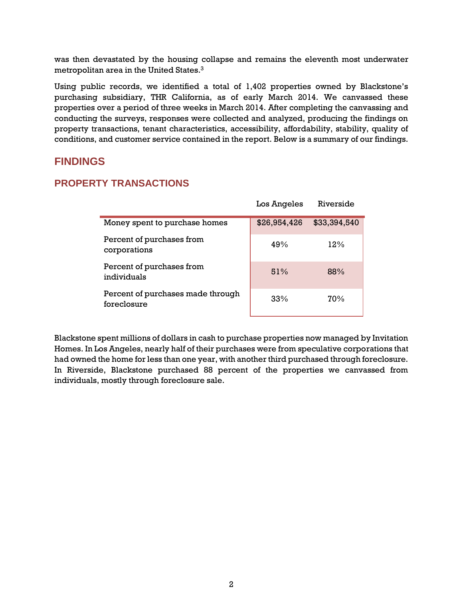was then devastated by the housing collapse and remains the eleventh most underwater metropolitan area in the United States. $^3$ 

Using public records, we identified a total of 1,402 properties owned by Blackstone's purchasing subsidiary, THR California, as of early March 2014. We canvassed these properties over a period of three weeks in March 2014. After completing the canvassing and conducting the surveys, responses were collected and analyzed, producing the findings on property transactions, tenant characteristics, accessibility, affordability, stability, quality of conditions, and customer service contained in the report. Below is a summary of our findings.

# <span id="page-6-0"></span>**FINDINGS**

#### **PROPERTY TRANSACTIONS**

|                                                  | Los Angeles  | Riverside    |
|--------------------------------------------------|--------------|--------------|
| Money spent to purchase homes                    | \$26,954,426 | \$33,394,540 |
| Percent of purchases from<br>corporations        | 49%          | 12%          |
| Percent of purchases from<br>individuals         | 51%          | 88%          |
| Percent of purchases made through<br>foreclosure | 33%          | 70%          |

Blackstone spent millions of dollars in cash to purchase properties now managed by Invitation Homes. In Los Angeles, nearly half of their purchases were from speculative corporations that had owned the home for less than one year, with another third purchased through foreclosure. In Riverside, Blackstone purchased 88 percent of the properties we canvassed from individuals, mostly through foreclosure sale.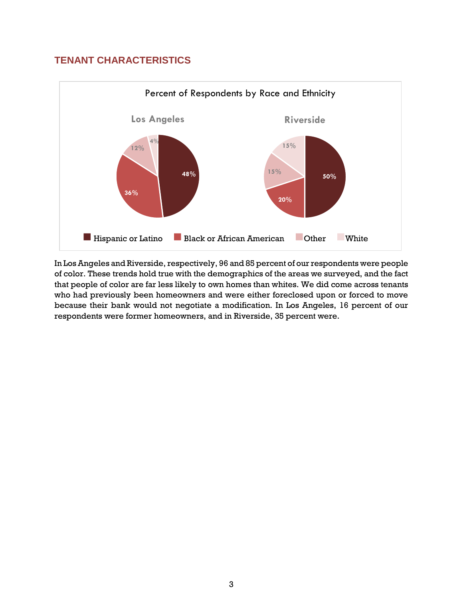# **TENANT CHARACTERISTICS**



In Los Angeles and Riverside, respectively, 96 and 85 percent of our respondents were people of color. These trends hold true with the demographics of the areas we surveyed, and the fact that people of color are far less likely to own homes than whites. We did come across tenants who had previously been homeowners and were either foreclosed upon or forced to move because their bank would not negotiate a modification. In Los Angeles, 16 percent of our respondents were former homeowners, and in Riverside, 35 percent were.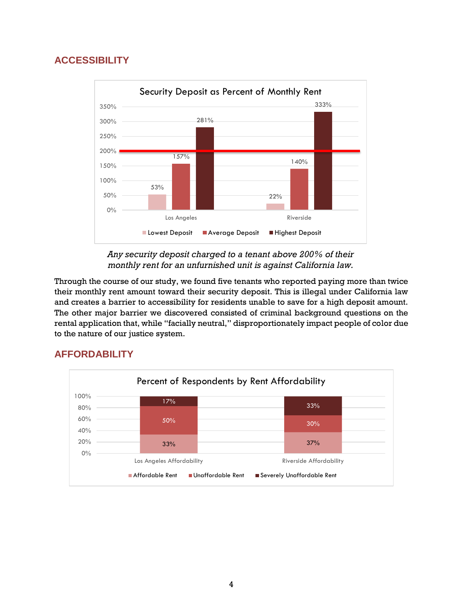# **ACCESSIBILITY**



*Any security deposit charged to a tenant above 200% of their monthly rent for an unfurnished unit is against California law.* 

Through the course of our study, we found five tenants who reported paying more than twice their monthly rent amount toward their security deposit. This is illegal under California law and creates a barrier to accessibility for residents unable to save for a high deposit amount. The other major barrier we discovered consisted of criminal background questions on the rental application that, while "facially neutral," disproportionately impact people of color due to the nature of our justice system.

# **AFFORDABILITY**

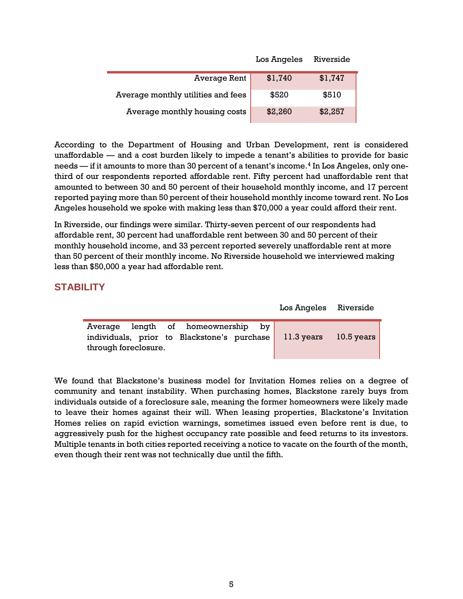|                                    | Los Angeles | Riverside |
|------------------------------------|-------------|-----------|
| Average Rent                       | \$1,740     | \$1,747   |
| Average monthly utilities and fees | \$520       | \$510     |
| Average monthly housing costs      | \$2,260     | \$2,257   |

According to the Department of Housing and Urban Development, rent is considered unaffordable — and a cost burden likely to impede a tenant's abilities to provide for basic needs — if it amounts to more than 30 percent of a tenant's income.<sup>4</sup> In Los Angeles, only onethird of our respondents reported affordable rent. Fifty percent had unaffordable rent that amounted to between 30 and 50 percent of their household monthly income, and 17 percent reported paying more than 50 percent of their household monthly income toward rent. No Los Angeles household we spoke with making less than \$70,000 a year could afford their rent.

In Riverside, our findings were similar. Thirty-seven percent of our respondents had affordable rent, 30 percent had unaffordable rent between 30 and 50 percent of their monthly household income, and 33 percent reported severely unaffordable rent at more than 50 percent of their monthly income. No Riverside household we interviewed making less than \$50,000 a year had affordable rent.

#### **STABILITY**

|                      |  | Average length of homeownership by |  |                                                                   |  |
|----------------------|--|------------------------------------|--|-------------------------------------------------------------------|--|
|                      |  |                                    |  | individuals, prior to Blackstone's purchase 11.3 years 10.5 years |  |
| through foreclosure. |  |                                    |  |                                                                   |  |

We found that Blackstone's business model for Invitation Homes relies on a degree of community and tenant instability. When purchasing homes, Blackstone rarely buys from individuals outside of a foreclosure sale, meaning the former homeowners were likely made to leave their homes against their will. When leasing properties, Blackstone's Invitation Homes relies on rapid eviction warnings, sometimes issued even before rent is due, to aggressively push for the highest occupancy rate possible and feed returns to its investors. Multiple tenants in both cities reported receiving a notice to vacate on the fourth of the month, even though their rent was not technically due until the fifth.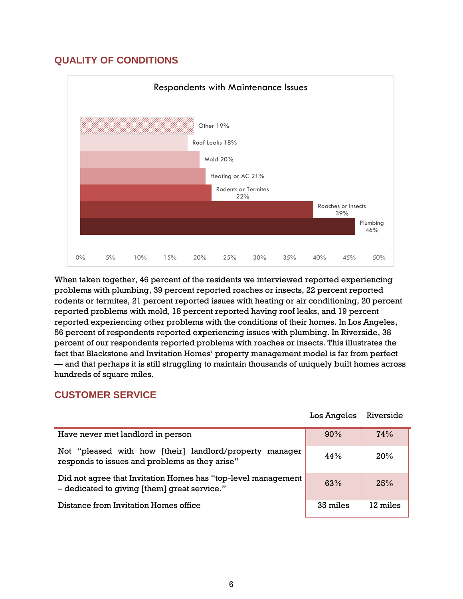# **QUALITY OF CONDITIONS**



When taken together, 46 percent of the residents we interviewed reported experiencing problems with plumbing, 39 percent reported roaches or insects, 22 percent reported rodents or termites, 21 percent reported issues with heating or air conditioning, 20 percent reported problems with mold, 18 percent reported having roof leaks, and 19 percent reported experiencing other problems with the conditions of their homes. In Los Angeles, 56 percent of respondents reported experiencing issues with plumbing. In Riverside, 38 percent of our respondents reported problems with roaches or insects. This illustrates the fact that Blackstone and Invitation Homes' property management model is far from perfect — and that perhaps it is still struggling to maintain thousands of uniquely built homes across hundreds of square miles.

# **CUSTOMER SERVICE**

|                                                                                                               | Los Angeles | Riverside |
|---------------------------------------------------------------------------------------------------------------|-------------|-----------|
| Have never met landlord in person                                                                             | 90%         | 74%       |
| Not "pleased with how [their] landlord/property<br>manager<br>responds to issues and problems as they arise"  | 44%         | 20%       |
| Did not agree that Invitation Homes has "top-level management<br>- dedicated to giving [them] great service." | 63%         | 25%       |
| Distance from Invitation Homes office                                                                         | 35 miles    | 12 miles  |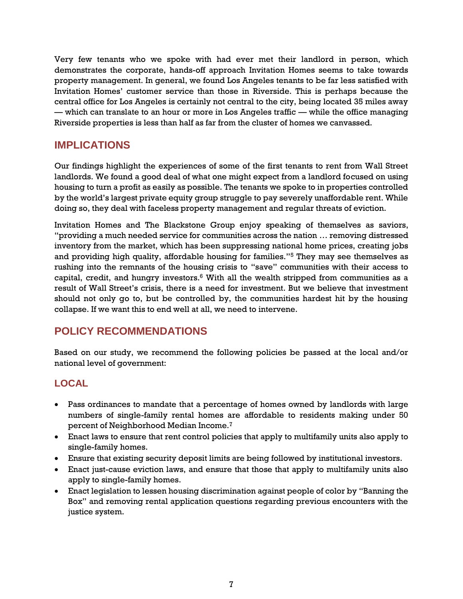Very few tenants who we spoke with had ever met their landlord in person, which demonstrates the corporate, hands-off approach Invitation Homes seems to take towards property management. In general, we found Los Angeles tenants to be far less satisfied with Invitation Homes' customer service than those in Riverside. This is perhaps because the central office for Los Angeles is certainly not central to the city, being located 35 miles away — which can translate to an hour or more in Los Angeles traffic — while the office managing Riverside properties is less than half as far from the cluster of homes we canvassed.

# <span id="page-11-0"></span>**IMPLICATIONS**

Our findings highlight the experiences of some of the first tenants to rent from Wall Street landlords. We found a good deal of what one might expect from a landlord focused on using housing to turn a profit as easily as possible. The tenants we spoke to in properties controlled by the world's largest private equity group struggle to pay severely unaffordable rent. While doing so, they deal with faceless property management and regular threats of eviction.

Invitation Homes and The Blackstone Group enjoy speaking of themselves as saviors, "providing a much needed service for communities across the nation … removing distressed inventory from the market, which has been suppressing national home prices, creating jobs and providing high quality, affordable housing for families."<sup>5</sup> They may see themselves as rushing into the remnants of the housing crisis to "save" communities with their access to capital, credit, and hungry investors. <sup>6</sup> With all the wealth stripped from communities as a result of Wall Street's crisis, there is a need for investment. But we believe that investment should not only go to, but be controlled by, the communities hardest hit by the housing collapse. If we want this to end well at all, we need to intervene.

# <span id="page-11-1"></span>**POLICY RECOMMENDATIONS**

Based on our study, we recommend the following policies be passed at the local and/or national level of government:

# **LOCAL**

- Pass ordinances to mandate that a percentage of homes owned by landlords with large numbers of single-family rental homes are affordable to residents making under 50 percent of Neighborhood Median Income.<sup>7</sup>
- Enact laws to ensure that rent control policies that apply to multifamily units also apply to single-family homes.
- Ensure that existing security deposit limits are being followed by institutional investors.
- Enact just-cause eviction laws, and ensure that those that apply to multifamily units also apply to single-family homes.
- Enact legislation to lessen housing discrimination against people of color by "Banning the Box" and removing rental application questions regarding previous encounters with the justice system.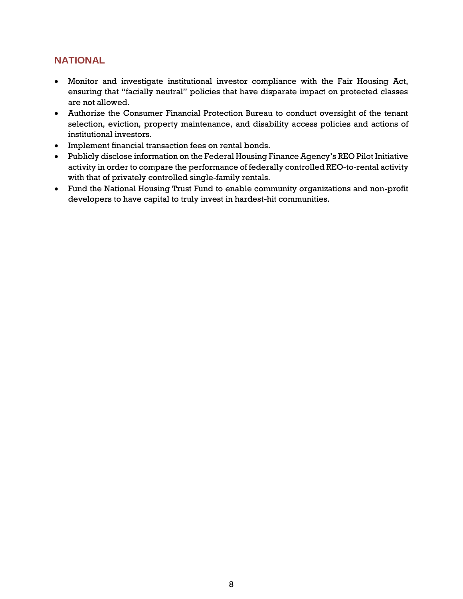# **NATIONAL**

- Monitor and investigate institutional investor compliance with the Fair Housing Act, ensuring that "facially neutral" policies that have disparate impact on protected classes are not allowed.
- Authorize the Consumer Financial Protection Bureau to conduct oversight of the tenant selection, eviction, property maintenance, and disability access policies and actions of institutional investors.
- Implement financial transaction fees on rental bonds.
- Publicly disclose information on the Federal Housing Finance Agency's REO Pilot Initiative activity in order to compare the performance of federally controlled REO-to-rental activity with that of privately controlled single-family rentals.
- Fund the National Housing Trust Fund to enable community organizations and non-profit developers to have capital to truly invest in hardest-hit communities.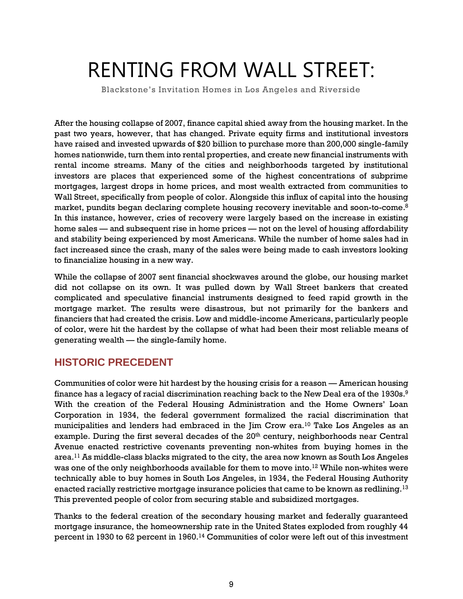# <span id="page-13-0"></span>RENTING FROM WALL STREET:

Blackstone's Invitation Homes in Los Angeles and Riverside

After the housing collapse of 2007, finance capital shied away from the housing market. In the past two years, however, that has changed. Private equity firms and institutional investors have raised and invested upwards of \$20 billion to purchase more than 200,000 single-family homes nationwide, turn them into rental properties, and create new financial instruments with rental income streams. Many of the cities and neighborhoods targeted by institutional investors are places that experienced some of the highest concentrations of subprime mortgages, largest drops in home prices, and most wealth extracted from communities to Wall Street, specifically from people of color. Alongside this influx of capital into the housing market, pundits began declaring complete housing recovery inevitable and soon-to-come. 8 In this instance, however, cries of recovery were largely based on the increase in existing home sales — and subsequent rise in home prices — not on the level of housing affordability and stability being experienced by most Americans. While the number of home sales had in fact increased since the crash, many of the sales were being made to cash investors looking to financialize housing in a new way.

While the collapse of 2007 sent financial shockwaves around the globe, our housing market did not collapse on its own. It was pulled down by Wall Street bankers that created complicated and speculative financial instruments designed to feed rapid growth in the mortgage market. The results were disastrous, but not primarily for the bankers and financiers that had created the crisis. Low and middle-income Americans, particularly people of color, were hit the hardest by the collapse of what had been their most reliable means of generating wealth — the single-family home.

# <span id="page-13-1"></span>**HISTORIC PRECEDENT**

Communities of color were hit hardest by the housing crisis for a reason — American housing finance has a legacy of racial discrimination reaching back to the New Deal era of the  $1930s.^9$ With the creation of the Federal Housing Administration and the Home Owners' Loan Corporation in 1934, the federal government formalized the racial discrimination that municipalities and lenders had embraced in the Jim Crow era.<sup>10</sup> Take Los Angeles as an example. During the first several decades of the 20<sup>th</sup> century, neighborhoods near Central Avenue enacted restrictive covenants preventing non-whites from buying homes in the area.<sup>11</sup> As middle-class blacks migrated to the city, the area now known as South Los Angeles was one of the only neighborhoods available for them to move into. <sup>12</sup> While non-whites were technically able to buy homes in South Los Angeles, in 1934, the Federal Housing Authority enacted racially restrictive mortgage insurance policies that came to be known as redlining.<sup>13</sup> This prevented people of color from securing stable and subsidized mortgages.

Thanks to the federal creation of the secondary housing market and federally guaranteed mortgage insurance, the homeownership rate in the United States exploded from roughly 44 percent in 1930 to 62 percent in 1960.<sup>14</sup> Communities of color were left out of this investment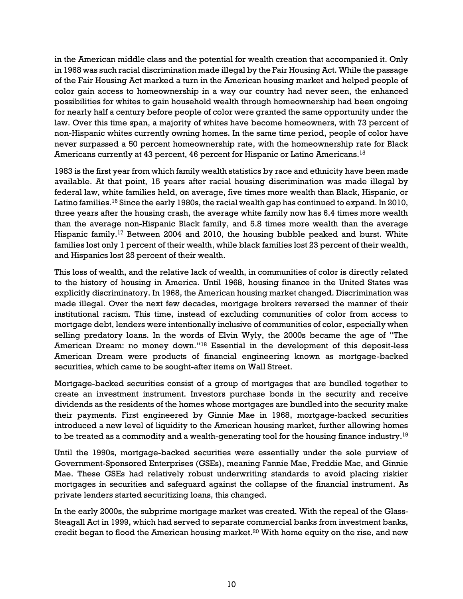in the American middle class and the potential for wealth creation that accompanied it. Only in 1968 was such racial discrimination made illegal by the Fair Housing Act. While the passage of the Fair Housing Act marked a turn in the American housing market and helped people of color gain access to homeownership in a way our country had never seen, the enhanced possibilities for whites to gain household wealth through homeownership had been ongoing for nearly half a century before people of color were granted the same opportunity under the law. Over this time span, a majority of whites have become homeowners, with 73 percent of non-Hispanic whites currently owning homes. In the same time period, people of color have never surpassed a 50 percent homeownership rate, with the homeownership rate for Black Americans currently at 43 percent, 46 percent for Hispanic or Latino Americans.<sup>15</sup>

1983 is the first year from which family wealth statistics by race and ethnicity have been made available. At that point, 15 years after racial housing discrimination was made illegal by federal law, white families held, on average, five times more wealth than Black, Hispanic, or Latino families.<sup>16</sup> Since the early 1980s, the racial wealth gap has continued to expand. In 2010, three years after the housing crash, the average white family now has 6.4 times more wealth than the average non-Hispanic Black family, and 5.8 times more wealth than the average Hispanic family.<sup>17</sup> Between 2004 and 2010, the housing bubble peaked and burst. White families lost only 1 percent of their wealth, while black families lost 23 percent of their wealth, and Hispanics lost 25 percent of their wealth.

This loss of wealth, and the relative lack of wealth, in communities of color is directly related to the history of housing in America. Until 1968, housing finance in the United States was explicitly discriminatory. In 1968, the American housing market changed. Discrimination was made illegal. Over the next few decades, mortgage brokers reversed the manner of their institutional racism. This time, instead of excluding communities of color from access to mortgage debt, lenders were intentionally inclusive of communities of color, especially when selling predatory loans. In the words of Elvin Wyly, the 2000s became the age of "The American Dream: no money down."<sup>18</sup> Essential in the development of this deposit-less American Dream were products of financial engineering known as mortgage-backed securities, which came to be sought-after items on Wall Street.

Mortgage-backed securities consist of a group of mortgages that are bundled together to create an investment instrument. Investors purchase bonds in the security and receive dividends as the residents of the homes whose mortgages are bundled into the security make their payments. First engineered by Ginnie Mae in 1968, mortgage-backed securities introduced a new level of liquidity to the American housing market, further allowing homes to be treated as a commodity and a wealth-generating tool for the housing finance industry. $^{19}$ 

Until the 1990s, mortgage-backed securities were essentially under the sole purview of Government-Sponsored Enterprises (GSEs), meaning Fannie Mae, Freddie Mac, and Ginnie Mae. These GSEs had relatively robust underwriting standards to avoid placing riskier mortgages in securities and safeguard against the collapse of the financial instrument. As private lenders started securitizing loans, this changed.

In the early 2000s, the subprime mortgage market was created. With the repeal of the Glass-Steagall Act in 1999, which had served to separate commercial banks from investment banks, credit began to flood the American housing market.<sup>20</sup> With home equity on the rise, and new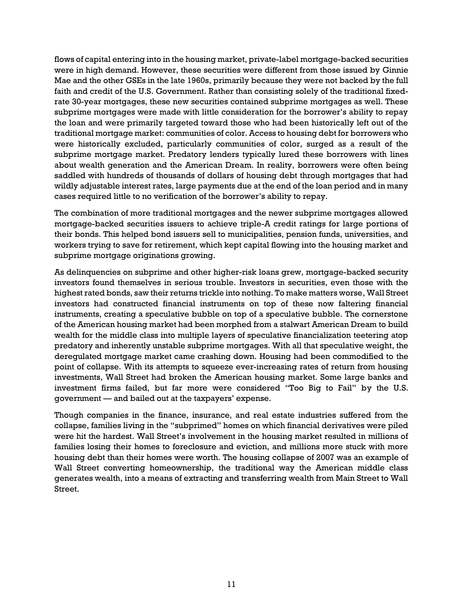flows of capital entering into in the housing market, private-label mortgage-backed securities were in high demand. However, these securities were different from those issued by Ginnie Mae and the other GSEs in the late 1960s, primarily because they were not backed by the full faith and credit of the U.S. Government. Rather than consisting solely of the traditional fixedrate 30-year mortgages, these new securities contained subprime mortgages as well. These subprime mortgages were made with little consideration for the borrower's ability to repay the loan and were primarily targeted toward those who had been historically left out of the traditional mortgage market: communities of color. Access to housing debt for borrowers who were historically excluded, particularly communities of color, surged as a result of the subprime mortgage market. Predatory lenders typically lured these borrowers with lines about wealth generation and the American Dream. In reality, borrowers were often being saddled with hundreds of thousands of dollars of housing debt through mortgages that had wildly adjustable interest rates, large payments due at the end of the loan period and in many cases required little to no verification of the borrower's ability to repay.

The combination of more traditional mortgages and the newer subprime mortgages allowed mortgage-backed securities issuers to achieve triple-A credit ratings for large portions of their bonds. This helped bond issuers sell to municipalities, pension funds, universities, and workers trying to save for retirement, which kept capital flowing into the housing market and subprime mortgage originations growing.

As delinquencies on subprime and other higher-risk loans grew, mortgage-backed security investors found themselves in serious trouble. Investors in securities, even those with the highest rated bonds, saw their returns trickle into nothing. To make matters worse, Wall Street investors had constructed financial instruments on top of these now faltering financial instruments, creating a speculative bubble on top of a speculative bubble. The cornerstone of the American housing market had been morphed from a stalwart American Dream to build wealth for the middle class into multiple layers of speculative financialization teetering atop predatory and inherently unstable subprime mortgages. With all that speculative weight, the deregulated mortgage market came crashing down. Housing had been commodified to the point of collapse. With its attempts to squeeze ever-increasing rates of return from housing investments, Wall Street had broken the American housing market. Some large banks and investment firms failed, but far more were considered "Too Big to Fail" by the U.S. government — and bailed out at the taxpayers' expense.

Though companies in the finance, insurance, and real estate industries suffered from the collapse, families living in the "subprimed" homes on which financial derivatives were piled were hit the hardest. Wall Street's involvement in the housing market resulted in millions of families losing their homes to foreclosure and eviction, and millions more stuck with more housing debt than their homes were worth. The housing collapse of 2007 was an example of Wall Street converting homeownership, the traditional way the American middle class generates wealth, into a means of extracting and transferring wealth from Main Street to Wall Street.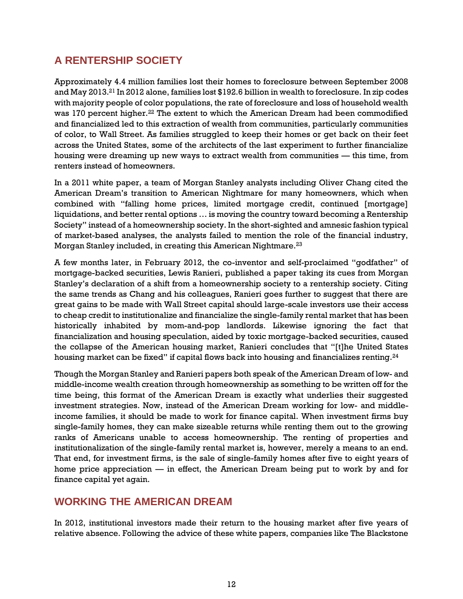# <span id="page-16-0"></span>**A RENTERSHIP SOCIETY**

Approximately 4.4 million families lost their homes to foreclosure between September 2008 and May 2013.<sup>21</sup> In 2012 alone, families lost \$192.6 billion in wealth to foreclosure. In zip codes with majority people of color populations, the rate of foreclosure and loss of household wealth was 170 percent higher.<sup>22</sup> The extent to which the American Dream had been commodified and financialized led to this extraction of wealth from communities, particularly communities of color, to Wall Street. As families struggled to keep their homes or get back on their feet across the United States, some of the architects of the last experiment to further financialize housing were dreaming up new ways to extract wealth from communities — this time, from renters instead of homeowners.

In a 2011 white paper, a team of Morgan Stanley analysts including Oliver Chang cited the American Dream's transition to American Nightmare for many homeowners, which when combined with "falling home prices, limited mortgage credit, continued [mortgage] liquidations, and better rental options … is moving the country toward becoming a Rentership Society" instead of a homeownership society. In the short-sighted and amnesic fashion typical of market-based analyses, the analysts failed to mention the role of the financial industry, Morgan Stanley included, in creating this American Nightmare.<sup>23</sup>

A few months later, in February 2012, the co-inventor and self-proclaimed "godfather" of mortgage-backed securities, Lewis Ranieri, published a paper taking its cues from Morgan Stanley's declaration of a shift from a homeownership society to a rentership society. Citing the same trends as Chang and his colleagues, Ranieri goes further to suggest that there are great gains to be made with Wall Street capital should large-scale investors use their access to cheap credit to institutionalize and financialize the single-family rental market that has been historically inhabited by mom-and-pop landlords. Likewise ignoring the fact that financialization and housing speculation, aided by toxic mortgage-backed securities, caused the collapse of the American housing market, Ranieri concludes that "[t]he United States housing market can be fixed" if capital flows back into housing and financializes renting.<sup>24</sup>

Though the Morgan Stanley and Ranieri papers both speak of the American Dream of low- and middle-income wealth creation through homeownership as something to be written off for the time being, this format of the American Dream is exactly what underlies their suggested investment strategies. Now, instead of the American Dream working for low- and middleincome families, it should be made to work for finance capital. When investment firms buy single-family homes, they can make sizeable returns while renting them out to the growing ranks of Americans unable to access homeownership. The renting of properties and institutionalization of the single-family rental market is, however, merely a means to an end. That end, for investment firms, is the sale of single-family homes after five to eight years of home price appreciation — in effect, the American Dream being put to work by and for finance capital yet again.

# <span id="page-16-1"></span>**WORKING THE AMERICAN DREAM**

In 2012, institutional investors made their return to the housing market after five years of relative absence. Following the advice of these white papers, companies like The Blackstone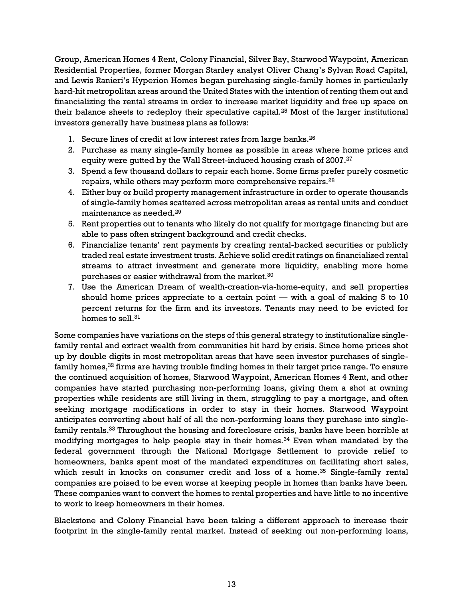Group, American Homes 4 Rent, Colony Financial, Silver Bay, Starwood Waypoint, American Residential Properties, former Morgan Stanley analyst Oliver Chang's Sylvan Road Capital, and Lewis Ranieri's Hyperion Homes began purchasing single-family homes in particularly hard-hit metropolitan areas around the United States with the intention of renting them out and financializing the rental streams in order to increase market liquidity and free up space on their balance sheets to redeploy their speculative capital.<sup>25</sup> Most of the larger institutional investors generally have business plans as follows:

- 1. Secure lines of credit at low interest rates from large banks.<sup>26</sup>
- 2. Purchase as many single-family homes as possible in areas where home prices and equity were gutted by the Wall Street-induced housing crash of 2007.<sup>27</sup>
- 3. Spend a few thousand dollars to repair each home. Some firms prefer purely cosmetic repairs, while others may perform more comprehensive repairs.<sup>28</sup>
- 4. Either buy or build property management infrastructure in order to operate thousands of single-family homes scattered across metropolitan areas as rental units and conduct maintenance as needed.<sup>29</sup>
- 5. Rent properties out to tenants who likely do not qualify for mortgage financing but are able to pass often stringent background and credit checks.
- 6. Financialize tenants' rent payments by creating rental-backed securities or publicly traded real estate investment trusts. Achieve solid credit ratings on financialized rental streams to attract investment and generate more liquidity, enabling more home purchases or easier withdrawal from the market.<sup>30</sup>
- 7. Use the American Dream of wealth-creation-via-home-equity, and sell properties should home prices appreciate to a certain point  $-$  with a goal of making 5 to 10 percent returns for the firm and its investors. Tenants may need to be evicted for homes to sell. $31$

Some companies have variations on the steps of this general strategy to institutionalize singlefamily rental and extract wealth from communities hit hard by crisis. Since home prices shot up by double digits in most metropolitan areas that have seen investor purchases of singlefamily homes, <sup>32</sup> firms are having trouble finding homes in their target price range. To ensure the continued acquisition of homes, Starwood Waypoint, American Homes 4 Rent, and other companies have started purchasing non-performing loans, giving them a shot at owning properties while residents are still living in them, struggling to pay a mortgage, and often seeking mortgage modifications in order to stay in their homes. Starwood Waypoint anticipates converting about half of all the non-performing loans they purchase into singlefamily rentals.<sup>33</sup> Throughout the housing and foreclosure crisis, banks have been horrible at modifying mortgages to help people stay in their homes.<sup>34</sup> Even when mandated by the federal government through the National Mortgage Settlement to provide relief to homeowners, banks spent most of the mandated expenditures on facilitating short sales, which result in knocks on consumer credit and loss of a home.<sup>35</sup> Single-family rental companies are poised to be even worse at keeping people in homes than banks have been. These companies want to convert the homes to rental properties and have little to no incentive to work to keep homeowners in their homes.

Blackstone and Colony Financial have been taking a different approach to increase their footprint in the single-family rental market. Instead of seeking out non-performing loans,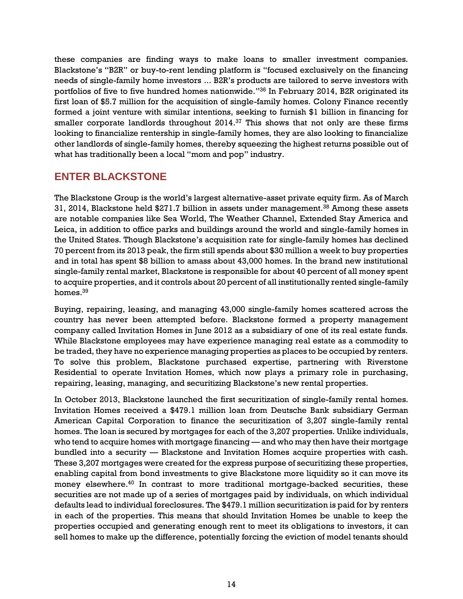these companies are finding ways to make loans to smaller investment companies. Blackstone's "B2R" or buy-to-rent lending platform is "focused exclusively on the financing needs of single-family home investors ... B2R's products are tailored to serve investors with portfolios of five to five hundred homes nationwide." <sup>36</sup> In February 2014, B2R originated its first loan of \$5.7 million for the acquisition of single-family homes. Colony Finance recently formed a joint venture with similar intentions, seeking to furnish \$1 billion in financing for smaller corporate landlords throughout 2014.<sup>37</sup> This shows that not only are these firms looking to financialize rentership in single-family homes, they are also looking to financialize other landlords of single-family homes, thereby squeezing the highest returns possible out of what has traditionally been a local "mom and pop" industry.

# <span id="page-18-0"></span>**ENTER BLACKSTONE**

The Blackstone Group is the world's largest alternative-asset private equity firm. As of March 31, 2014, Blackstone held \$271.7 billion in assets under management.<sup>38</sup> Among these assets are notable companies like Sea World, The Weather Channel, Extended Stay America and Leica, in addition to office parks and buildings around the world and single-family homes in the United States. Though Blackstone's acquisition rate for single-family homes has declined 70 percent from its 2013 peak, the firm still spends about \$30 million a week to buy properties and in total has spent \$8 billion to amass about 43,000 homes. In the brand new institutional single-family rental market, Blackstone is responsible for about 40 percent of all money spent to acquire properties, and it controls about 20 percent of all institutionally rented single-family homes.<sup>39</sup>

Buying, repairing, leasing, and managing 43,000 single-family homes scattered across the country has never been attempted before. Blackstone formed a property management company called Invitation Homes in June 2012 as a subsidiary of one of its real estate funds. While Blackstone employees may have experience managing real estate as a commodity to be traded, they have no experience managing properties as places to be occupied by renters. To solve this problem, Blackstone purchased expertise, partnering with Riverstone Residential to operate Invitation Homes, which now plays a primary role in purchasing, repairing, leasing, managing, and securitizing Blackstone's new rental properties.

In October 2013, Blackstone launched the first securitization of single-family rental homes. Invitation Homes received a \$479.1 million loan from Deutsche Bank subsidiary German American Capital Corporation to finance the securitization of 3,207 single-family rental homes. The loan is secured by mortgages for each of the 3,207 properties. Unlike individuals, who tend to acquire homes with mortgage financing — and who may then have their mortgage bundled into a security — Blackstone and Invitation Homes acquire properties with cash. These 3,207 mortgages were created for the express purpose of securitizing these properties, enabling capital from bond investments to give Blackstone more liquidity so it can move its money elsewhere.<sup>40</sup> In contrast to more traditional mortgage-backed securities, these securities are not made up of a series of mortgages paid by individuals, on which individual defaults lead to individual foreclosures. The \$479.1 million securitization is paid for by renters in each of the properties. This means that should Invitation Homes be unable to keep the properties occupied and generating enough rent to meet its obligations to investors, it can sell homes to make up the difference, potentially forcing the eviction of model tenants should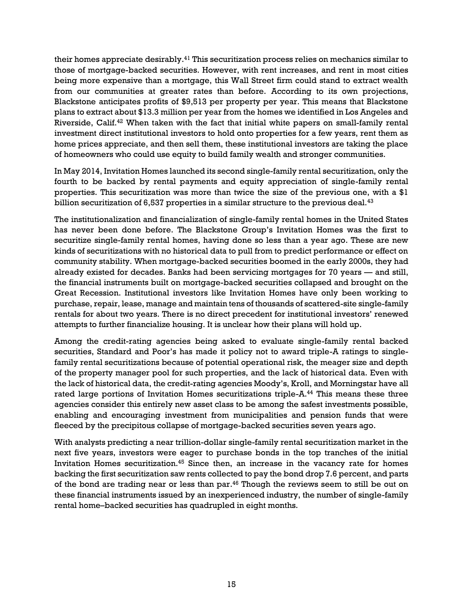their homes appreciate desirably.<sup>41</sup> This securitization process relies on mechanics similar to those of mortgage-backed securities. However, with rent increases, and rent in most cities being more expensive than a mortgage, this Wall Street firm could stand to extract wealth from our communities at greater rates than before. According to its own projections, Blackstone anticipates profits of \$9,513 per property per year. This means that Blackstone plans to extract about \$13.3 million per year from the homes we identified in Los Angeles and Riverside, Calif.<sup>42</sup> When taken with the fact that initial white papers on small-family rental investment direct institutional investors to hold onto properties for a few years, rent them as home prices appreciate, and then sell them, these institutional investors are taking the place of homeowners who could use equity to build family wealth and stronger communities.

In May 2014, Invitation Homes launched its second single-family rental securitization, only the fourth to be backed by rental payments and equity appreciation of single-family rental properties. This securitization was more than twice the size of the previous one, with a \$1 billion securitization of  $6,537$  properties in a similar structure to the previous deal.<sup>43</sup>

The institutionalization and financialization of single-family rental homes in the United States has never been done before. The Blackstone Group's Invitation Homes was the first to securitize single-family rental homes, having done so less than a year ago. These are new kinds of securitizations with no historical data to pull from to predict performance or effect on community stability. When mortgage-backed securities boomed in the early 2000s, they had already existed for decades. Banks had been servicing mortgages for 70 years — and still, the financial instruments built on mortgage-backed securities collapsed and brought on the Great Recession. Institutional investors like Invitation Homes have only been working to purchase, repair, lease, manage and maintain tens of thousands of scattered-site single-family rentals for about two years. There is no direct precedent for institutional investors' renewed attempts to further financialize housing. It is unclear how their plans will hold up.

Among the credit-rating agencies being asked to evaluate single-family rental backed securities, Standard and Poor's has made it policy not to award triple-A ratings to singlefamily rental securitizations because of potential operational risk, the meager size and depth of the property manager pool for such properties, and the lack of historical data. Even with the lack of historical data, the credit-rating agencies Moody's, Kroll, and Morningstar have all rated large portions of Invitation Homes securitizations triple-A.<sup>44</sup> This means these three agencies consider this entirely new asset class to be among the safest investments possible, enabling and encouraging investment from municipalities and pension funds that were fleeced by the precipitous collapse of mortgage-backed securities seven years ago.

With analysts predicting a near trillion-dollar single-family rental securitization market in the next five years, investors were eager to purchase bonds in the top tranches of the initial Invitation Homes securitization.<sup>45</sup> Since then, an increase in the vacancy rate for homes backing the first securitization saw rents collected to pay the bond drop 7.6 percent, and parts of the bond are trading near or less than par.<sup>46</sup> Though the reviews seem to still be out on these financial instruments issued by an inexperienced industry, the number of single-family rental home–backed securities has quadrupled in eight months.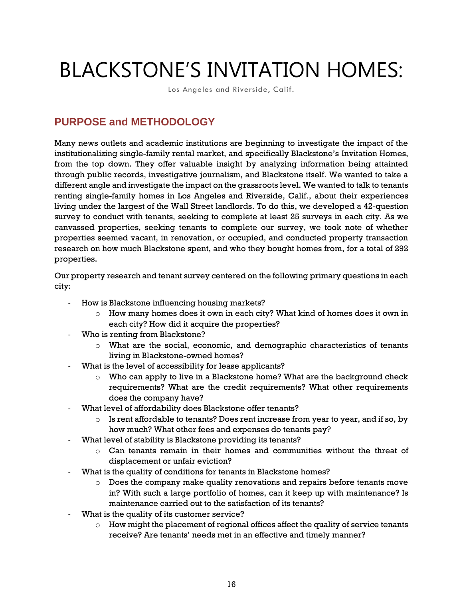# <span id="page-20-0"></span>BLACKSTONE'S INVITATION HOMES:

Los Angeles and Riverside, Calif.

# <span id="page-20-1"></span>**PURPOSE and METHODOLOGY**

Many news outlets and academic institutions are beginning to investigate the impact of the institutionalizing single-family rental market, and specifically Blackstone's Invitation Homes, from the top down. They offer valuable insight by analyzing information being attainted through public records, investigative journalism, and Blackstone itself. We wanted to take a different angle and investigate the impact on the grassroots level. We wanted to talk to tenants renting single-family homes in Los Angeles and Riverside, Calif., about their experiences living under the largest of the Wall Street landlords. To do this, we developed a 42-question survey to conduct with tenants, seeking to complete at least 25 surveys in each city. As we canvassed properties, seeking tenants to complete our survey, we took note of whether properties seemed vacant, in renovation, or occupied, and conducted property transaction research on how much Blackstone spent, and who they bought homes from, for a total of 292 properties.

Our property research and tenant survey centered on the following primary questions in each city:

- How is Blackstone influencing housing markets?
	- $\circ$  How many homes does it own in each city? What kind of homes does it own in each city? How did it acquire the properties?
- Who is renting from Blackstone?
	- o What are the social, economic, and demographic characteristics of tenants living in Blackstone-owned homes?
- What is the level of accessibility for lease applicants?
	- o Who can apply to live in a Blackstone home? What are the background check requirements? What are the credit requirements? What other requirements does the company have?
- What level of affordability does Blackstone offer tenants?
	- $\circ$  Is rent affordable to tenants? Does rent increase from year to year, and if so, by how much? What other fees and expenses do tenants pay?
- What level of stability is Blackstone providing its tenants?
	- $\circ$  Can tenants remain in their homes and communities without the threat of displacement or unfair eviction?
- What is the quality of conditions for tenants in Blackstone homes?
	- o Does the company make quality renovations and repairs before tenants move in? With such a large portfolio of homes, can it keep up with maintenance? Is maintenance carried out to the satisfaction of its tenants?
- What is the quality of its customer service?
	- $\circ$  How might the placement of regional offices affect the quality of service tenants receive? Are tenants' needs met in an effective and timely manner?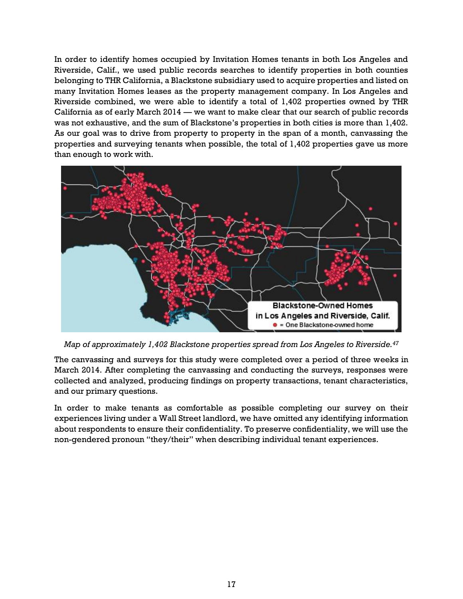In order to identify homes occupied by Invitation Homes tenants in both Los Angeles and Riverside, Calif., we used public records searches to identify properties in both counties belonging to THR California, a Blackstone subsidiary used to acquire properties and listed on many Invitation Homes leases as the property management company. In Los Angeles and Riverside combined, we were able to identify a total of 1,402 properties owned by THR California as of early March 2014 — we want to make clear that our search of public records was not exhaustive, and the sum of Blackstone's properties in both cities is more than 1,402. As our goal was to drive from property to property in the span of a month, canvassing the properties and surveying tenants when possible, the total of 1,402 properties gave us more than enough to work with.



*Map of approximately 1,402 Blackstone properties spread from Los Angeles to Riverside.<sup>47</sup>*

The canvassing and surveys for this study were completed over a period of three weeks in March 2014. After completing the canvassing and conducting the surveys, responses were collected and analyzed, producing findings on property transactions, tenant characteristics, and our primary questions.

In order to make tenants as comfortable as possible completing our survey on their experiences living under a Wall Street landlord, we have omitted any identifying information about respondents to ensure their confidentiality. To preserve confidentiality, we will use the non-gendered pronoun "they/their" when describing individual tenant experiences.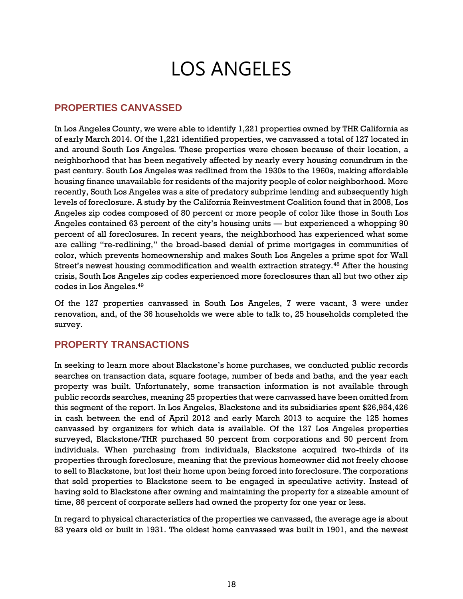# LOS ANGELES

#### <span id="page-22-0"></span>**PROPERTIES CANVASSED**

In Los Angeles County, we were able to identify 1,221 properties owned by THR California as of early March 2014. Of the 1,221 identified properties, we canvassed a total of 127 located in and around South Los Angeles. These properties were chosen because of their location, a neighborhood that has been negatively affected by nearly every housing conundrum in the past century. South Los Angeles was redlined from the 1930s to the 1960s, making affordable housing finance unavailable for residents of the majority people of color neighborhood. More recently, South Los Angeles was a site of predatory subprime lending and subsequently high levels of foreclosure. A study by the California Reinvestment Coalition found that in 2008, Los Angeles zip codes composed of 80 percent or more people of color like those in South Los Angeles contained 63 percent of the city's housing units — but experienced a whopping 90 percent of all foreclosures. In recent years, the neighborhood has experienced what some are calling "re-redlining," the broad-based denial of prime mortgages in communities of color, which prevents homeownership and makes South Los Angeles a prime spot for Wall Street's newest housing commodification and wealth extraction strategy.<sup>48</sup> After the housing crisis, South Los Angeles zip codes experienced more foreclosures than all but two other zip codes in Los Angeles.<sup>49</sup>

Of the 127 properties canvassed in South Los Angeles, 7 were vacant, 3 were under renovation, and, of the 36 households we were able to talk to, 25 households completed the survey.

#### **PROPERTY TRANSACTIONS**

In seeking to learn more about Blackstone's home purchases, we conducted public records searches on transaction data, square footage, number of beds and baths, and the year each property was built. Unfortunately, some transaction information is not available through public records searches, meaning 25 properties that were canvassed have been omitted from this segment of the report. In Los Angeles, Blackstone and its subsidiaries spent \$26,954,426 in cash between the end of April 2012 and early March 2013 to acquire the 125 homes canvassed by organizers for which data is available. Of the 127 Los Angeles properties surveyed, Blackstone/THR purchased 50 percent from corporations and 50 percent from individuals. When purchasing from individuals, Blackstone acquired two-thirds of its properties through foreclosure, meaning that the previous homeowner did not freely choose to sell to Blackstone, but lost their home upon being forced into foreclosure. The corporations that sold properties to Blackstone seem to be engaged in speculative activity. Instead of having sold to Blackstone after owning and maintaining the property for a sizeable amount of time, 86 percent of corporate sellers had owned the property for one year or less.

In regard to physical characteristics of the properties we canvassed, the average age is about 83 years old or built in 1931. The oldest home canvassed was built in 1901, and the newest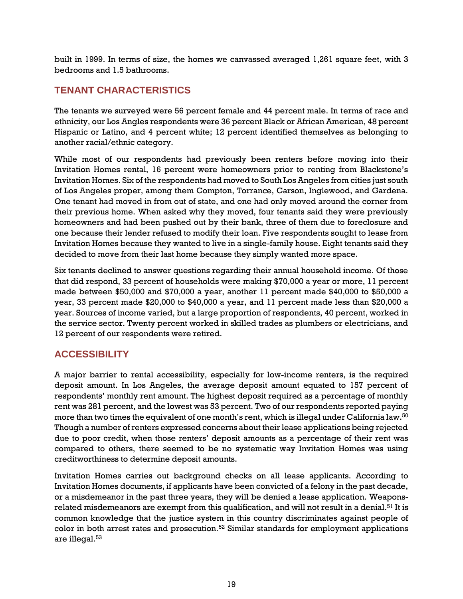built in 1999. In terms of size, the homes we canvassed averaged 1,261 square feet, with 3 bedrooms and 1.5 bathrooms.

# **TENANT CHARACTERISTICS**

The tenants we surveyed were 56 percent female and 44 percent male. In terms of race and ethnicity, our Los Angles respondents were 36 percent Black or African American, 48 percent Hispanic or Latino, and 4 percent white; 12 percent identified themselves as belonging to another racial/ethnic category.

While most of our respondents had previously been renters before moving into their Invitation Homes rental, 16 percent were homeowners prior to renting from Blackstone's Invitation Homes. Six of the respondents had moved to South Los Angeles from cities just south of Los Angeles proper, among them Compton, Torrance, Carson, Inglewood, and Gardena. One tenant had moved in from out of state, and one had only moved around the corner from their previous home. When asked why they moved, four tenants said they were previously homeowners and had been pushed out by their bank, three of them due to foreclosure and one because their lender refused to modify their loan. Five respondents sought to lease from Invitation Homes because they wanted to live in a single-family house. Eight tenants said they decided to move from their last home because they simply wanted more space.

Six tenants declined to answer questions regarding their annual household income. Of those that did respond, 33 percent of households were making \$70,000 a year or more, 11 percent made between \$50,000 and \$70,000 a year, another 11 percent made \$40,000 to \$50,000 a year, 33 percent made \$20,000 to \$40,000 a year, and 11 percent made less than \$20,000 a year. Sources of income varied, but a large proportion of respondents, 40 percent, worked in the service sector. Twenty percent worked in skilled trades as plumbers or electricians, and 12 percent of our respondents were retired.

# **ACCESSIBILITY**

A major barrier to rental accessibility, especially for low-income renters, is the required deposit amount. In Los Angeles, the average deposit amount equated to 157 percent of respondents' monthly rent amount. The highest deposit required as a percentage of monthly rent was 281 percent, and the lowest was 53 percent. Two of our respondents reported paying more than two times the equivalent of one month's rent, which is illegal under California law.<sup>50</sup> Though a number of renters expressed concerns about their lease applications being rejected due to poor credit, when those renters' deposit amounts as a percentage of their rent was compared to others, there seemed to be no systematic way Invitation Homes was using creditworthiness to determine deposit amounts.

Invitation Homes carries out background checks on all lease applicants. According to Invitation Homes documents, if applicants have been convicted of a felony in the past decade, or a misdemeanor in the past three years, they will be denied a lease application. Weaponsrelated misdemeanors are exempt from this qualification, and will not result in a denial. <sup>51</sup> It is common knowledge that the justice system in this country discriminates against people of color in both arrest rates and prosecution.<sup>52</sup> Similar standards for employment applications are illegal. 53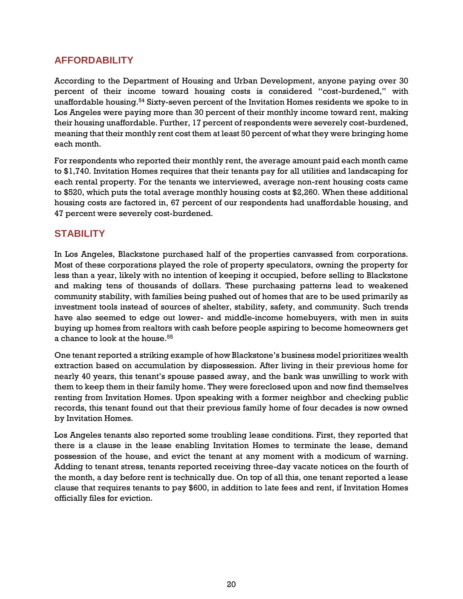### **AFFORDABILITY**

According to the Department of Housing and Urban Development, anyone paying over 30 percent of their income toward housing costs is considered "cost-burdened," with unaffordable housing.<sup>54</sup> Sixty-seven percent of the Invitation Homes residents we spoke to in Los Angeles were paying more than 30 percent of their monthly income toward rent, making their housing unaffordable. Further, 17 percent of respondents were severely cost-burdened, meaning that their monthly rent cost them at least 50 percent of what they were bringing home each month.

For respondents who reported their monthly rent, the average amount paid each month came to \$1,740. Invitation Homes requires that their tenants pay for all utilities and landscaping for each rental property. For the tenants we interviewed, average non-rent housing costs came to \$520, which puts the total average monthly housing costs at \$2,260. When these additional housing costs are factored in, 67 percent of our respondents had unaffordable housing, and 47 percent were severely cost-burdened.

# **STABILITY**

In Los Angeles, Blackstone purchased half of the properties canvassed from corporations. Most of these corporations played the role of property speculators, owning the property for less than a year, likely with no intention of keeping it occupied, before selling to Blackstone and making tens of thousands of dollars. These purchasing patterns lead to weakened community stability, with families being pushed out of homes that are to be used primarily as investment tools instead of sources of shelter, stability, safety, and community. Such trends have also seemed to edge out lower- and middle-income homebuyers, with men in suits buying up homes from realtors with cash before people aspiring to become homeowners get a chance to look at the house.<sup>55</sup>

One tenant reported a striking example of how Blackstone's business model prioritizes wealth extraction based on accumulation by dispossession. After living in their previous home for nearly 40 years, this tenant's spouse passed away, and the bank was unwilling to work with them to keep them in their family home. They were foreclosed upon and now find themselves renting from Invitation Homes. Upon speaking with a former neighbor and checking public records, this tenant found out that their previous family home of four decades is now owned by Invitation Homes.

Los Angeles tenants also reported some troubling lease conditions. First, they reported that there is a clause in the lease enabling Invitation Homes to terminate the lease, demand possession of the house, and evict the tenant at any moment with a modicum of warning. Adding to tenant stress, tenants reported receiving three-day vacate notices on the fourth of the month, a day before rent is technically due. On top of all this, one tenant reported a lease clause that requires tenants to pay \$600, in addition to late fees and rent, if Invitation Homes officially files for eviction.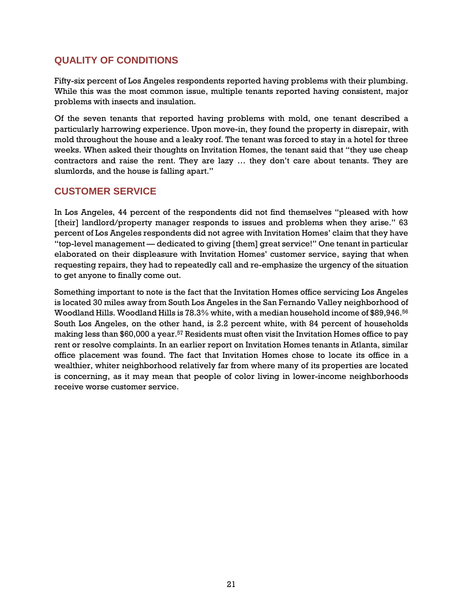### **QUALITY OF CONDITIONS**

Fifty-six percent of Los Angeles respondents reported having problems with their plumbing. While this was the most common issue, multiple tenants reported having consistent, major problems with insects and insulation.

Of the seven tenants that reported having problems with mold, one tenant described a particularly harrowing experience. Upon move-in, they found the property in disrepair, with mold throughout the house and a leaky roof. The tenant was forced to stay in a hotel for three weeks. When asked their thoughts on Invitation Homes, the tenant said that "they use cheap contractors and raise the rent. They are lazy … they don't care about tenants. They are slumlords, and the house is falling apart."

#### **CUSTOMER SERVICE**

In Los Angeles, 44 percent of the respondents did not find themselves "pleased with how [their] landlord/property manager responds to issues and problems when they arise." 63 percent of Los Angeles respondents did not agree with Invitation Homes' claim that they have "top-level management — dedicated to giving [them] great service!" One tenant in particular elaborated on their displeasure with Invitation Homes' customer service, saying that when requesting repairs, they had to repeatedly call and re-emphasize the urgency of the situation to get anyone to finally come out.

Something important to note is the fact that the Invitation Homes office servicing Los Angeles is located 30 miles away from South Los Angeles in the San Fernando Valley neighborhood of Woodland Hills. Woodland Hills is 78.3% white, with a median household income of \$89,946.<sup>56</sup> South Los Angeles, on the other hand, is 2.2 percent white, with 84 percent of households making less than  $$60,000$  a year.<sup>57</sup> Residents must often visit the Invitation Homes office to pay rent or resolve complaints. In an earlier report on Invitation Homes tenants in Atlanta, similar office placement was found. The fact that Invitation Homes chose to locate its office in a wealthier, whiter neighborhood relatively far from where many of its properties are located is concerning, as it may mean that people of color living in lower-income neighborhoods receive worse customer service.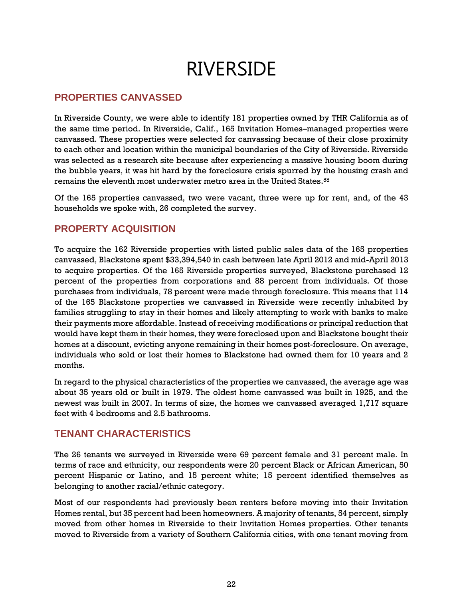# RIVERSIDE

#### <span id="page-26-0"></span>**PROPERTIES CANVASSED**

In Riverside County, we were able to identify 181 properties owned by THR California as of the same time period. In Riverside, Calif., 165 Invitation Homes–managed properties were canvassed. These properties were selected for canvassing because of their close proximity to each other and location within the municipal boundaries of the City of Riverside. Riverside was selected as a research site because after experiencing a massive housing boom during the bubble years, it was hit hard by the foreclosure crisis spurred by the housing crash and remains the eleventh most underwater metro area in the United States. 58

Of the 165 properties canvassed, two were vacant, three were up for rent, and, of the 43 households we spoke with, 26 completed the survey.

### **PROPERTY ACQUISITION**

To acquire the 162 Riverside properties with listed public sales data of the 165 properties canvassed, Blackstone spent \$33,394,540 in cash between late April 2012 and mid-April 2013 to acquire properties. Of the 165 Riverside properties surveyed, Blackstone purchased 12 percent of the properties from corporations and 88 percent from individuals. Of those purchases from individuals, 78 percent were made through foreclosure. This means that 114 of the 165 Blackstone properties we canvassed in Riverside were recently inhabited by families struggling to stay in their homes and likely attempting to work with banks to make their payments more affordable. Instead of receiving modifications or principal reduction that would have kept them in their homes, they were foreclosed upon and Blackstone bought their homes at a discount, evicting anyone remaining in their homes post-foreclosure. On average, individuals who sold or lost their homes to Blackstone had owned them for 10 years and 2 months.

In regard to the physical characteristics of the properties we canvassed, the average age was about 35 years old or built in 1979. The oldest home canvassed was built in 1925, and the newest was built in 2007. In terms of size, the homes we canvassed averaged 1,717 square feet with 4 bedrooms and 2.5 bathrooms.

#### **TENANT CHARACTERISTICS**

The 26 tenants we surveyed in Riverside were 69 percent female and 31 percent male. In terms of race and ethnicity, our respondents were 20 percent Black or African American, 50 percent Hispanic or Latino, and 15 percent white; 15 percent identified themselves as belonging to another racial/ethnic category.

Most of our respondents had previously been renters before moving into their Invitation Homes rental, but 35 percent had been homeowners. A majority of tenants, 54 percent, simply moved from other homes in Riverside to their Invitation Homes properties. Other tenants moved to Riverside from a variety of Southern California cities, with one tenant moving from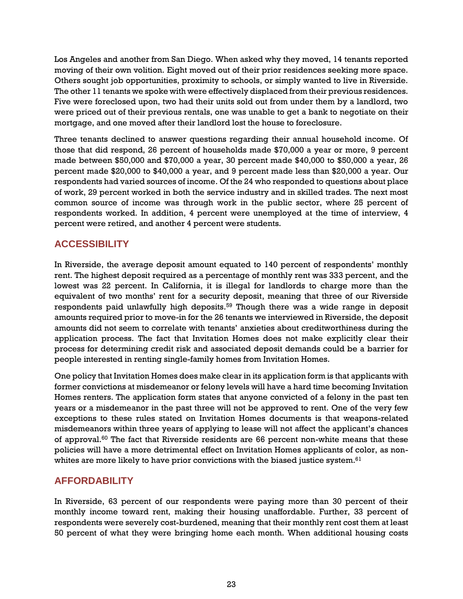Los Angeles and another from San Diego. When asked why they moved, 14 tenants reported moving of their own volition. Eight moved out of their prior residences seeking more space. Others sought job opportunities, proximity to schools, or simply wanted to live in Riverside. The other 11 tenants we spoke with were effectively displaced from their previous residences. Five were foreclosed upon, two had their units sold out from under them by a landlord, two were priced out of their previous rentals, one was unable to get a bank to negotiate on their mortgage, and one moved after their landlord lost the house to foreclosure.

Three tenants declined to answer questions regarding their annual household income. Of those that did respond, 26 percent of households made \$70,000 a year or more, 9 percent made between \$50,000 and \$70,000 a year, 30 percent made \$40,000 to \$50,000 a year, 26 percent made \$20,000 to \$40,000 a year, and 9 percent made less than \$20,000 a year. Our respondents had varied sources of income. Of the 24 who responded to questions about place of work, 29 percent worked in both the service industry and in skilled trades. The next most common source of income was through work in the public sector, where 25 percent of respondents worked. In addition, 4 percent were unemployed at the time of interview, 4 percent were retired, and another 4 percent were students.

# **ACCESSIBILITY**

In Riverside, the average deposit amount equated to 140 percent of respondents' monthly rent. The highest deposit required as a percentage of monthly rent was 333 percent, and the lowest was 22 percent. In California, it is illegal for landlords to charge more than the equivalent of two months' rent for a security deposit, meaning that three of our Riverside respondents paid unlawfully high deposits.<sup>59</sup> Though there was a wide range in deposit amounts required prior to move-in for the 26 tenants we interviewed in Riverside, the deposit amounts did not seem to correlate with tenants' anxieties about creditworthiness during the application process. The fact that Invitation Homes does not make explicitly clear their process for determining credit risk and associated deposit demands could be a barrier for people interested in renting single-family homes from Invitation Homes.

One policy that Invitation Homes does make clear in its application form is that applicants with former convictions at misdemeanor or felony levels will have a hard time becoming Invitation Homes renters. The application form states that anyone convicted of a felony in the past ten years or a misdemeanor in the past three will not be approved to rent. One of the very few exceptions to these rules stated on Invitation Homes documents is that weapons-related misdemeanors within three years of applying to lease will not affect the applicant's chances of approval. $60$  The fact that Riverside residents are 66 percent non-white means that these policies will have a more detrimental effect on Invitation Homes applicants of color, as nonwhites are more likely to have prior convictions with the biased justice system. $61$ 

# **AFFORDABILITY**

In Riverside, 63 percent of our respondents were paying more than 30 percent of their monthly income toward rent, making their housing unaffordable. Further, 33 percent of respondents were severely cost-burdened, meaning that their monthly rent cost them at least 50 percent of what they were bringing home each month. When additional housing costs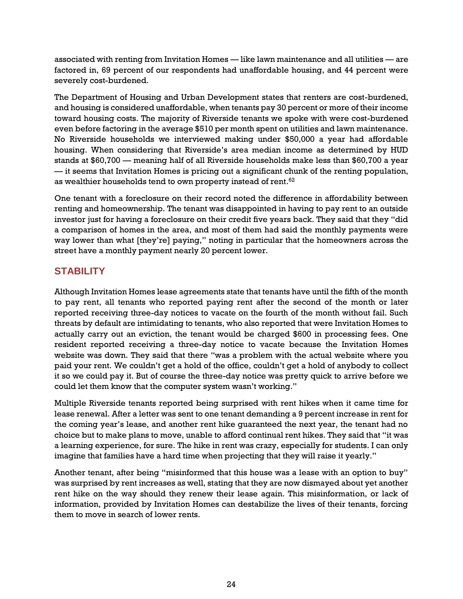associated with renting from Invitation Homes — like lawn maintenance and all utilities — are factored in, 69 percent of our respondents had unaffordable housing, and 44 percent were severely cost-burdened.

The Department of Housing and Urban Development states that renters are cost-burdened, and housing is considered unaffordable, when tenants pay 30 percent or more of their income toward housing costs. The majority of Riverside tenants we spoke with were cost-burdened even before factoring in the average \$510 per month spent on utilities and lawn maintenance. No Riverside households we interviewed making under \$50,000 a year had affordable housing. When considering that Riverside's area median income as determined by HUD stands at \$60,700 — meaning half of all Riverside households make less than \$60,700 a year — it seems that Invitation Homes is pricing out a significant chunk of the renting population, as wealthier households tend to own property instead of rent. $^{62}$ 

One tenant with a foreclosure on their record noted the difference in affordability between renting and homeownership. The tenant was disappointed in having to pay rent to an outside investor just for having a foreclosure on their credit five years back. They said that they "did a comparison of homes in the area, and most of them had said the monthly payments were way lower than what [they're] paying," noting in particular that the homeowners across the street have a monthly payment nearly 20 percent lower.

# **STABILITY**

Although Invitation Homes lease agreements state that tenants have until the fifth of the month to pay rent, all tenants who reported paying rent after the second of the month or later reported receiving three-day notices to vacate on the fourth of the month without fail. Such threats by default are intimidating to tenants, who also reported that were Invitation Homes to actually carry out an eviction, the tenant would be charged \$600 in processing fees. One resident reported receiving a three-day notice to vacate because the Invitation Homes website was down. They said that there "was a problem with the actual website where you paid your rent. We couldn't get a hold of the office, couldn't get a hold of anybody to collect it so we could pay it. But of course the three-day notice was pretty quick to arrive before we could let them know that the computer system wasn't working."

Multiple Riverside tenants reported being surprised with rent hikes when it came time for lease renewal. After a letter was sent to one tenant demanding a 9 percent increase in rent for the coming year's lease, and another rent hike guaranteed the next year, the tenant had no choice but to make plans to move, unable to afford continual rent hikes. They said that "it was a learning experience, for sure. The hike in rent was crazy, especially for students. I can only imagine that families have a hard time when projecting that they will raise it yearly."

Another tenant, after being "misinformed that this house was a lease with an option to buy" was surprised by rent increases as well, stating that they are now dismayed about yet another rent hike on the way should they renew their lease again. This misinformation, or lack of information, provided by Invitation Homes can destabilize the lives of their tenants, forcing them to move in search of lower rents.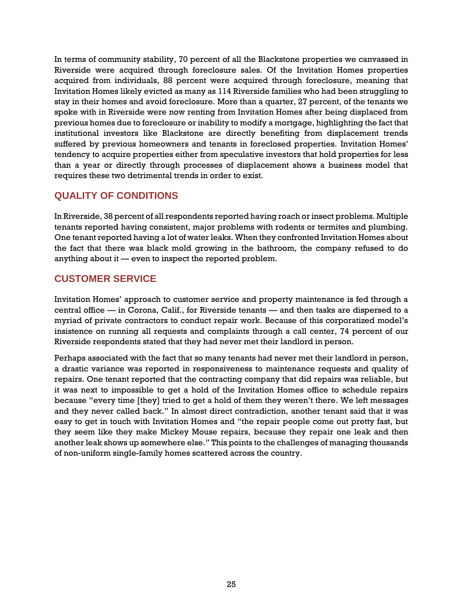In terms of community stability, 70 percent of all the Blackstone properties we canvassed in Riverside were acquired through foreclosure sales. Of the Invitation Homes properties acquired from individuals, 88 percent were acquired through foreclosure, meaning that Invitation Homes likely evicted as many as 114 Riverside families who had been struggling to stay in their homes and avoid foreclosure. More than a quarter, 27 percent, of the tenants we spoke with in Riverside were now renting from Invitation Homes after being displaced from previous homes due to foreclosure or inability to modify a mortgage, highlighting the fact that institutional investors like Blackstone are directly benefiting from displacement trends suffered by previous homeowners and tenants in foreclosed properties. Invitation Homes' tendency to acquire properties either from speculative investors that hold properties for less than a year or directly through processes of displacement shows a business model that requires these two detrimental trends in order to exist.

# **QUALITY OF CONDITIONS**

In Riverside, 38 percent of all respondents reported having roach or insect problems. Multiple tenants reported having consistent, major problems with rodents or termites and plumbing. One tenant reported having a lot of water leaks. When they confronted Invitation Homes about the fact that there was black mold growing in the bathroom, the company refused to do anything about it — even to inspect the reported problem.

# **CUSTOMER SERVICE**

Invitation Homes' approach to customer service and property maintenance is fed through a central office — in Corona, Calif., for Riverside tenants — and then tasks are dispersed to a myriad of private contractors to conduct repair work. Because of this corporatized model's insistence on running all requests and complaints through a call center, 74 percent of our Riverside respondents stated that they had never met their landlord in person.

Perhaps associated with the fact that so many tenants had never met their landlord in person, a drastic variance was reported in responsiveness to maintenance requests and quality of repairs. One tenant reported that the contracting company that did repairs was reliable, but it was next to impossible to get a hold of the Invitation Homes office to schedule repairs because "every time [they] tried to get a hold of them they weren't there. We left messages and they never called back." In almost direct contradiction, another tenant said that it was easy to get in touch with Invitation Homes and "the repair people come out pretty fast, but they seem like they make Mickey Mouse repairs, because they repair one leak and then another leak shows up somewhere else." This points to the challenges of managing thousands of non-uniform single-family homes scattered across the country.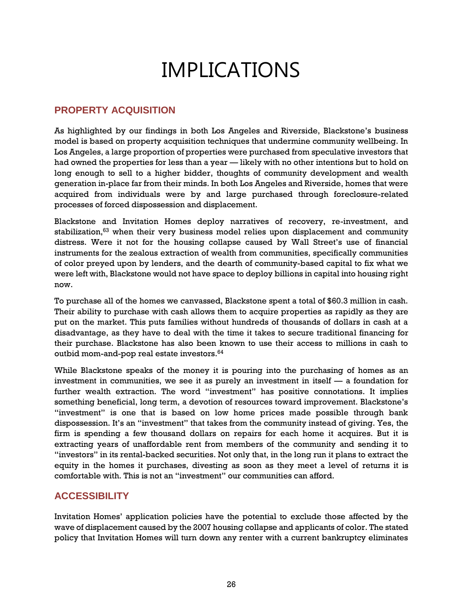# IMPLICATIONS

#### <span id="page-30-0"></span>**PROPERTY ACQUISITION**

As highlighted by our findings in both Los Angeles and Riverside, Blackstone's business model is based on property acquisition techniques that undermine community wellbeing. In Los Angeles, a large proportion of properties were purchased from speculative investors that had owned the properties for less than a year — likely with no other intentions but to hold on long enough to sell to a higher bidder, thoughts of community development and wealth generation in-place far from their minds. In both Los Angeles and Riverside, homes that were acquired from individuals were by and large purchased through foreclosure-related processes of forced dispossession and displacement.

Blackstone and Invitation Homes deploy narratives of recovery, re-investment, and stabilization,<sup>63</sup> when their very business model relies upon displacement and community distress. Were it not for the housing collapse caused by Wall Street's use of financial instruments for the zealous extraction of wealth from communities, specifically communities of color preyed upon by lenders, and the dearth of community-based capital to fix what we were left with, Blackstone would not have space to deploy billions in capital into housing right now.

To purchase all of the homes we canvassed, Blackstone spent a total of \$60.3 million in cash. Their ability to purchase with cash allows them to acquire properties as rapidly as they are put on the market. This puts families without hundreds of thousands of dollars in cash at a disadvantage, as they have to deal with the time it takes to secure traditional financing for their purchase. Blackstone has also been known to use their access to millions in cash to outbid mom-and-pop real estate investors. 64

While Blackstone speaks of the money it is pouring into the purchasing of homes as an investment in communities, we see it as purely an investment in itself — a foundation for further wealth extraction. The word "investment" has positive connotations. It implies something beneficial, long term, a devotion of resources toward improvement. Blackstone's "investment" is one that is based on low home prices made possible through bank dispossession. It's an "investment" that takes from the community instead of giving. Yes, the firm is spending a few thousand dollars on repairs for each home it acquires. But it is extracting years of unaffordable rent from members of the community and sending it to "investors" in its rental-backed securities. Not only that, in the long run it plans to extract the equity in the homes it purchases, divesting as soon as they meet a level of returns it is comfortable with. This is not an "investment" our communities can afford.

# **ACCESSIBILITY**

Invitation Homes' application policies have the potential to exclude those affected by the wave of displacement caused by the 2007 housing collapse and applicants of color. The stated policy that Invitation Homes will turn down any renter with a current bankruptcy eliminates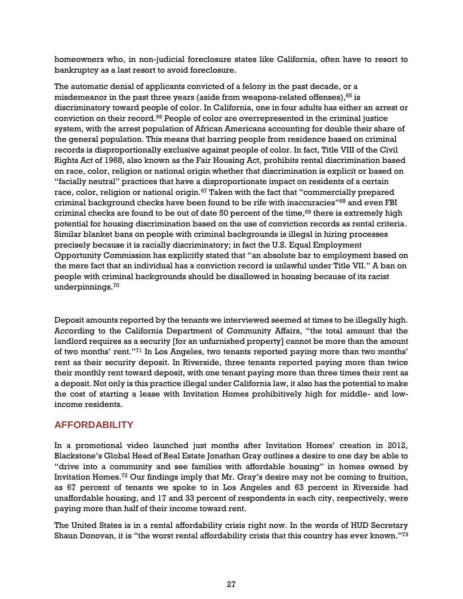homeowners who, in non-judicial foreclosure states like California, often have to resort to bankruptcy as a last resort to avoid foreclosure.

The automatic denial of applicants convicted of a felony in the past decade, or a misdemeanor in the past three years (aside from weapons-related offenses), $65$  is discriminatory toward people of color. In California, one in four adults has either an arrest or conviction on their record.<sup>66</sup> People of color are overrepresented in the criminal justice system, with the arrest population of African Americans accounting for double their share of the general population. This means that barring people from residence based on criminal records is disproportionally exclusive against people of color. In fact, Title VIII of the Civil Rights Act of 1968, also known as the Fair Housing Act, prohibits rental discrimination based on race, color, religion or national origin whether that discrimination is explicit or based on "facially neutral" practices that have a disproportionate impact on residents of a certain race, color, religion or national origin.<sup>67</sup> Taken with the fact that "commercially prepared criminal background checks have been found to be rife with inaccuracies"<sup>68</sup> and even FBI criminal checks are found to be out of date 50 percent of the time, $69$  there is extremely high potential for housing discrimination based on the use of conviction records as rental criteria. Similar blanket bans on people with criminal backgrounds is illegal in hiring processes precisely because it is racially discriminatory; in fact the U.S. Equal Employment Opportunity Commission has explicitly stated that "an absolute bar to employment based on the mere fact that an individual has a conviction record is unlawful under Title VII." A ban on people with criminal backgrounds should be disallowed in housing because of its racist underpinnings.<sup>70</sup>

Deposit amounts reported by the tenants we interviewed seemed at times to be illegally high. According to the California Department of Community Affairs, "the total amount that the landlord requires as a security [for an unfurnished property] cannot be more than the amount of two months' rent."<sup>71</sup> In Los Angeles, two tenants reported paying more than two months' rent as their security deposit. In Riverside, three tenants reported paying more than twice their monthly rent toward deposit, with one tenant paying more than three times their rent as a deposit. Not only is this practice illegal under California law, it also has the potential to make the cost of starting a lease with Invitation Homes prohibitively high for middle- and lowincome residents.

#### **AFFORDABILITY**

In a promotional video launched just months after Invitation Homes' creation in 2012, Blackstone's Global Head of Real Estate Jonathan Gray outlines a desire to one day be able to "drive into a community and see families with affordable housing" in homes owned by Invitation Homes.<sup>72</sup> Our findings imply that Mr. Gray's desire may not be coming to fruition, as 67 percent of tenants we spoke to in Los Angeles and 63 percent in Riverside had unaffordable housing, and 17 and 33 percent of respondents in each city, respectively, were paying more than half of their income toward rent.

The United States is in a rental affordability crisis right now. In the words of HUD Secretary Shaun Donovan, it is "the worst rental affordability crisis that this country has ever known."73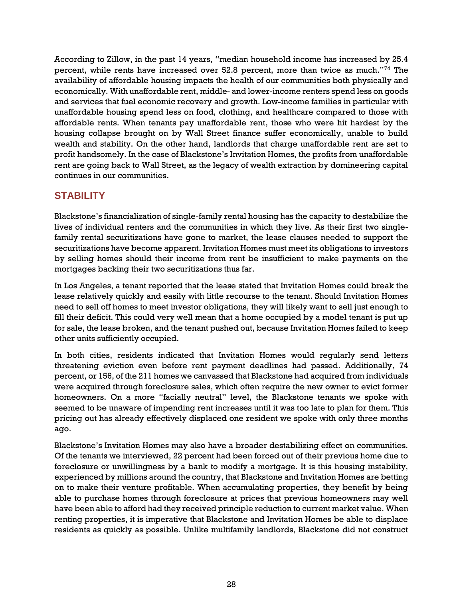According to Zillow, in the past 14 years, "median household income has increased by 25.4 percent, while rents have increased over 52.8 percent, more than twice as much."<sup>74</sup> The availability of affordable housing impacts the health of our communities both physically and economically. With unaffordable rent, middle- and lower-income renters spend less on goods and services that fuel economic recovery and growth. Low-income families in particular with unaffordable housing spend less on food, clothing, and healthcare compared to those with affordable rents. When tenants pay unaffordable rent, those who were hit hardest by the housing collapse brought on by Wall Street finance suffer economically, unable to build wealth and stability. On the other hand, landlords that charge unaffordable rent are set to profit handsomely. In the case of Blackstone's Invitation Homes, the profits from unaffordable rent are going back to Wall Street, as the legacy of wealth extraction by domineering capital continues in our communities.

# **STABILITY**

Blackstone's financialization of single-family rental housing has the capacity to destabilize the lives of individual renters and the communities in which they live. As their first two singlefamily rental securitizations have gone to market, the lease clauses needed to support the securitizations have become apparent. Invitation Homes must meet its obligations to investors by selling homes should their income from rent be insufficient to make payments on the mortgages backing their two securitizations thus far.

In Los Angeles, a tenant reported that the lease stated that Invitation Homes could break the lease relatively quickly and easily with little recourse to the tenant. Should Invitation Homes need to sell off homes to meet investor obligations, they will likely want to sell just enough to fill their deficit. This could very well mean that a home occupied by a model tenant is put up for sale, the lease broken, and the tenant pushed out, because Invitation Homes failed to keep other units sufficiently occupied.

In both cities, residents indicated that Invitation Homes would regularly send letters threatening eviction even before rent payment deadlines had passed. Additionally, 74 percent, or 156, of the 211 homes we canvassed that Blackstone had acquired from individuals were acquired through foreclosure sales, which often require the new owner to evict former homeowners. On a more "facially neutral" level, the Blackstone tenants we spoke with seemed to be unaware of impending rent increases until it was too late to plan for them. This pricing out has already effectively displaced one resident we spoke with only three months ago.

Blackstone's Invitation Homes may also have a broader destabilizing effect on communities. Of the tenants we interviewed, 22 percent had been forced out of their previous home due to foreclosure or unwillingness by a bank to modify a mortgage. It is this housing instability, experienced by millions around the country, that Blackstone and Invitation Homes are betting on to make their venture profitable. When accumulating properties, they benefit by being able to purchase homes through foreclosure at prices that previous homeowners may well have been able to afford had they received principle reduction to current market value. When renting properties, it is imperative that Blackstone and Invitation Homes be able to displace residents as quickly as possible. Unlike multifamily landlords, Blackstone did not construct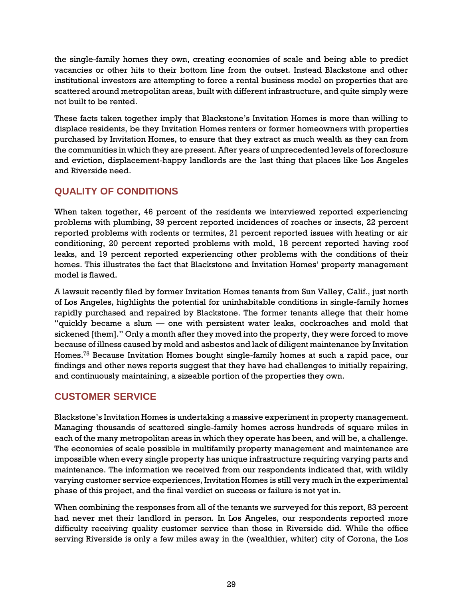the single-family homes they own, creating economies of scale and being able to predict vacancies or other hits to their bottom line from the outset. Instead Blackstone and other institutional investors are attempting to force a rental business model on properties that are scattered around metropolitan areas, built with different infrastructure, and quite simply were not built to be rented.

These facts taken together imply that Blackstone's Invitation Homes is more than willing to displace residents, be they Invitation Homes renters or former homeowners with properties purchased by Invitation Homes, to ensure that they extract as much wealth as they can from the communities in which they are present. After years of unprecedented levels of foreclosure and eviction, displacement-happy landlords are the last thing that places like Los Angeles and Riverside need.

# **QUALITY OF CONDITIONS**

When taken together, 46 percent of the residents we interviewed reported experiencing problems with plumbing, 39 percent reported incidences of roaches or insects, 22 percent reported problems with rodents or termites, 21 percent reported issues with heating or air conditioning, 20 percent reported problems with mold, 18 percent reported having roof leaks, and 19 percent reported experiencing other problems with the conditions of their homes. This illustrates the fact that Blackstone and Invitation Homes' property management model is flawed.

A lawsuit recently filed by former Invitation Homes tenants from Sun Valley, Calif., just north of Los Angeles, highlights the potential for uninhabitable conditions in single-family homes rapidly purchased and repaired by Blackstone. The former tenants allege that their home "quickly became a slum — one with persistent water leaks, cockroaches and mold that sickened [them]." Only a month after they moved into the property, they were forced to move because of illness caused by mold and asbestos and lack of diligent maintenance by Invitation Homes.<sup>75</sup> Because Invitation Homes bought single-family homes at such a rapid pace, our findings and other news reports suggest that they have had challenges to initially repairing, and continuously maintaining, a sizeable portion of the properties they own.

# **CUSTOMER SERVICE**

Blackstone's Invitation Homes is undertaking a massive experiment in property management. Managing thousands of scattered single-family homes across hundreds of square miles in each of the many metropolitan areas in which they operate has been, and will be, a challenge. The economies of scale possible in multifamily property management and maintenance are impossible when every single property has unique infrastructure requiring varying parts and maintenance. The information we received from our respondents indicated that, with wildly varying customer service experiences, Invitation Homes is still very much in the experimental phase of this project, and the final verdict on success or failure is not yet in.

When combining the responses from all of the tenants we surveyed for this report, 83 percent had never met their landlord in person. In Los Angeles, our respondents reported more difficulty receiving quality customer service than those in Riverside did. While the office serving Riverside is only a few miles away in the (wealthier, whiter) city of Corona, the Los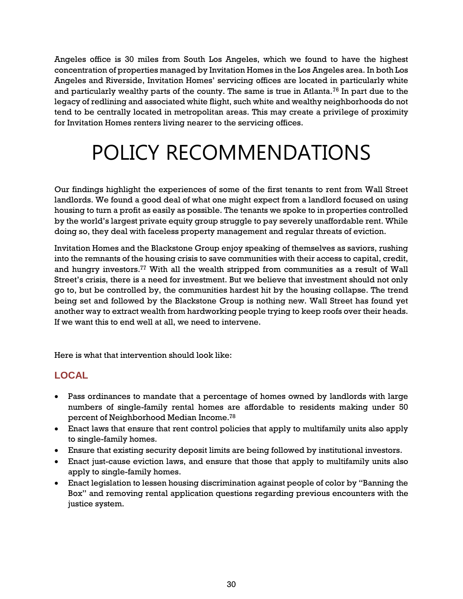Angeles office is 30 miles from South Los Angeles, which we found to have the highest concentration of properties managed by Invitation Homes in the Los Angeles area. In both Los Angeles and Riverside, Invitation Homes' servicing offices are located in particularly white and particularly wealthy parts of the county. The same is true in Atlanta.<sup>76</sup> In part due to the legacy of redlining and associated white flight, such white and wealthy neighborhoods do not tend to be centrally located in metropolitan areas. This may create a privilege of proximity for Invitation Homes renters living nearer to the servicing offices.

# <span id="page-34-0"></span>POLICY RECOMMENDATIONS

Our findings highlight the experiences of some of the first tenants to rent from Wall Street landlords. We found a good deal of what one might expect from a landlord focused on using housing to turn a profit as easily as possible. The tenants we spoke to in properties controlled by the world's largest private equity group struggle to pay severely unaffordable rent. While doing so, they deal with faceless property management and regular threats of eviction.

Invitation Homes and the Blackstone Group enjoy speaking of themselves as saviors, rushing into the remnants of the housing crisis to save communities with their access to capital, credit, and hungry investors.<sup>77</sup> With all the wealth stripped from communities as a result of Wall Street's crisis, there is a need for investment. But we believe that investment should not only go to, but be controlled by, the communities hardest hit by the housing collapse. The trend being set and followed by the Blackstone Group is nothing new. Wall Street has found yet another way to extract wealth from hardworking people trying to keep roofs over their heads. If we want this to end well at all, we need to intervene.

Here is what that intervention should look like:

# **LOCAL**

- Pass ordinances to mandate that a percentage of homes owned by landlords with large numbers of single-family rental homes are affordable to residents making under 50 percent of Neighborhood Median Income. $^{78}\,$
- Enact laws that ensure that rent control policies that apply to multifamily units also apply to single-family homes.
- Ensure that existing security deposit limits are being followed by institutional investors.
- Enact just-cause eviction laws, and ensure that those that apply to multifamily units also apply to single-family homes.
- Enact legislation to lessen housing discrimination against people of color by "Banning the Box" and removing rental application questions regarding previous encounters with the justice system.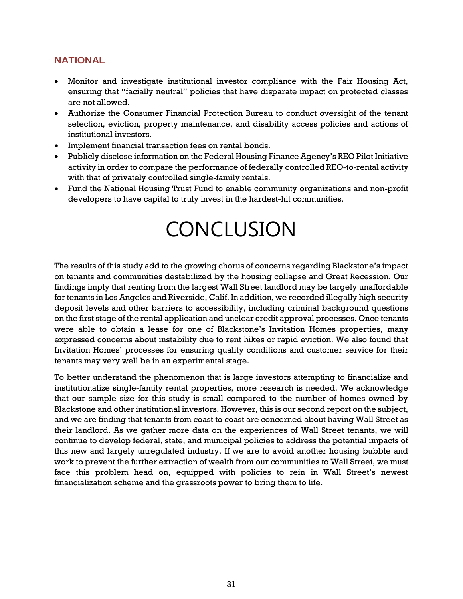### **NATIONAL**

- Monitor and investigate institutional investor compliance with the Fair Housing Act, ensuring that "facially neutral" policies that have disparate impact on protected classes are not allowed.
- Authorize the Consumer Financial Protection Bureau to conduct oversight of the tenant selection, eviction, property maintenance, and disability access policies and actions of institutional investors.
- Implement financial transaction fees on rental bonds.
- Publicly disclose information on the Federal Housing Finance Agency's REO Pilot Initiative activity in order to compare the performance of federally controlled REO-to-rental activity with that of privately controlled single-family rentals.
- <span id="page-35-0"></span> Fund the National Housing Trust Fund to enable community organizations and non-profit developers to have capital to truly invest in the hardest-hit communities.

# **CONCLUSION**

The results of this study add to the growing chorus of concerns regarding Blackstone's impact on tenants and communities destabilized by the housing collapse and Great Recession. Our findings imply that renting from the largest Wall Street landlord may be largely unaffordable for tenants in Los Angeles and Riverside, Calif. In addition, we recorded illegally high security deposit levels and other barriers to accessibility, including criminal background questions on the first stage of the rental application and unclear credit approval processes. Once tenants were able to obtain a lease for one of Blackstone's Invitation Homes properties, many expressed concerns about instability due to rent hikes or rapid eviction. We also found that Invitation Homes' processes for ensuring quality conditions and customer service for their tenants may very well be in an experimental stage.

To better understand the phenomenon that is large investors attempting to financialize and institutionalize single-family rental properties, more research is needed. We acknowledge that our sample size for this study is small compared to the number of homes owned by Blackstone and other institutional investors. However, this is our second report on the subject, and we are finding that tenants from coast to coast are concerned about having Wall Street as their landlord. As we gather more data on the experiences of Wall Street tenants, we will continue to develop federal, state, and municipal policies to address the potential impacts of this new and largely unregulated industry. If we are to avoid another housing bubble and work to prevent the further extraction of wealth from our communities to Wall Street, we must face this problem head on, equipped with policies to rein in Wall Street's newest financialization scheme and the grassroots power to bring them to life.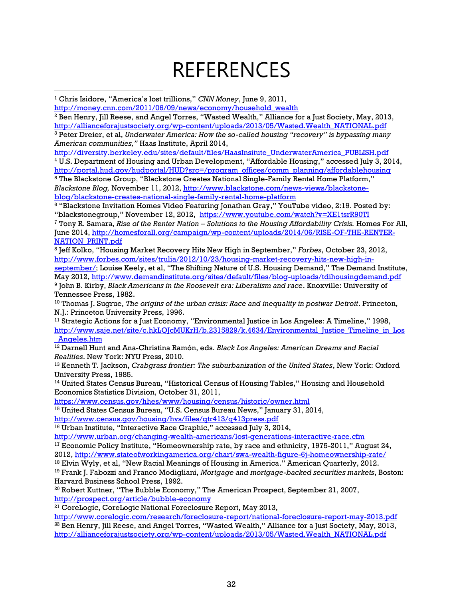# **RFFFRENCES**

<span id="page-36-0"></span> $\overline{\phantom{a}}$ 

<sup>2</sup> Ben Henry, Jill Reese, and Angel Torres, "Wasted Wealth," Alliance for a Just Society, May, 2013, [http://allianceforajustsociety.org/wp-content/uploads/2013/05/Wasted.Wealth\\_NATIONAL.pdf](http://allianceforajustsociety.org/wp-content/uploads/2013/05/Wasted.Wealth_NATIONAL.pdf)

<sup>3</sup> Peter Dreier, et al, *Underwater America: How the so-called housing "recovery" is bypassing many American communities,"* Haas Institute, April 2014,

[http://diversity.berkeley.edu/sites/default/files/HaasInsitute\\_UnderwaterAmerica\\_PUBLISH.pdf](http://diversity.berkeley.edu/sites/default/files/HaasInsitute_UnderwaterAmerica_PUBLISH.pdf) <sup>4</sup> U.S. Department of Housing and Urban Development, "Affordable Housing," accessed July 3, 2014, [http://portal.hud.gov/hudportal/HUD?src=/program\\_offices/comm\\_planning/affordablehousing](http://portal.hud.gov/hudportal/HUD?src=/program_offices/comm_planning/affordablehousing) <sup>5</sup> The Blackstone Group, "Blackstone Creates National Single-Family Rental Home Platform," *Blackstone Blog,* November 11, 2012[, http://www.blackstone.com/news-views/blackstone](http://www.blackstone.com/news-views/blackstone-blog/blackstone-creates-national-single-family-rental-home-platform)[blog/blackstone-creates-national-single-family-rental-home-platform](http://www.blackstone.com/news-views/blackstone-blog/blackstone-creates-national-single-family-rental-home-platform)

<sup>6</sup> "Blackstone Invitation Homes Video Featuring Jonathan Gray," YouTube video, 2:19. Posted by: "blackstonegroup," November 12, 2012, <https://www.youtube.com/watch?v=XE1tsrR90TI>

<sup>7</sup> Tony R. Samara, *Rise of the Renter Nation – Solutions to the Housing Affordability Crisis.* Homes For All, June 2014, [http://homesforall.org/campaign/wp-content/uploads/2014/06/RISE-OF-THE-RENTER-](http://homesforall.org/campaign/wp-content/uploads/2014/06/RISE-OF-THE-RENTER-NATION_PRINT.pdf)[NATION\\_PRINT.pdf](http://homesforall.org/campaign/wp-content/uploads/2014/06/RISE-OF-THE-RENTER-NATION_PRINT.pdf)

8 Jeff Kolko, "Housing Market Recovery Hits New High in September," *Forbes*, October 23, 2012, [http://www.forbes.com/sites/trulia/2012/10/23/housing-market-recovery-hits-new-high-in-](http://www.forbes.com/sites/trulia/2012/10/23/housing-market-recovery-hits-new-high-in-september/)

[september/](http://www.forbes.com/sites/trulia/2012/10/23/housing-market-recovery-hits-new-high-in-september/); Louise Keely, et al, "The Shifting Nature of U.S. Housing Demand," The Demand Institute, May 2012, <http://www.demandinstitute.org/sites/default/files/blog-uploads/tdihousingdemand.pdf> 9 John B. Kirby, *Black Americans in the Roosevelt era: Liberalism and race*. Knoxville: University of Tennessee Press, 1982.

<sup>10</sup> Thomas J. Sugrue, *The origins of the urban crisis: Race and inequality in postwar Detroit. Princeton,* N.J.: Princeton University Press, 1996.

 $11$  Strategic Actions for a Just Economy, "Environmental Justice in Los Angeles: A Timeline," 1998. http://www.saje.net/site/c.hkLQJcMUKrH/b.2315829/k.4634/Environmental Justice Timeline in Los [\\_Angeles.htm](http://www.saje.net/site/c.hkLQJcMUKrH/b.2315829/k.4634/Environmental_Justice_Timeline_in_Los_Angeles.htm)

<sup>12</sup> Darnell Hunt and Ana-Christina Ramón, eds. *Black Los Angeles: American Dreams and Racial Realities*. New York: NYU Press, 2010.

<sup>13</sup> Kenneth T. Jackson, *Crabgrass frontier: The suburbanization of the United States*, New York: Oxford University Press, 1985.

<sup>14</sup> United States Census Bureau, "Historical Census of Housing Tables," Housing and Household Economics Statistics Division, October 31, 2011,

<https://www.census.gov/hhes/www/housing/census/historic/owner.html>

<sup>15</sup> United States Census Bureau, "U.S. Census Bureau News," January 31, 2014, <http://www.census.gov/housing/hvs/files/qtr413/q413press.pdf>

<sup>16</sup> Urban Institute, "Interactive Race Graphic," accessed July 3, 2014,

<http://www.urban.org/changing-wealth-americans/lost-generations-interactive-race.cfm>

<sup>17</sup> Economic Policy Institute, "Homeownership rate, by race and ethnicity, 1975-2011," August 24, 2012,<http://www.stateofworkingamerica.org/chart/swa-wealth-figure-6j-homeownership-rate/>

 $18$  Elvin Wyly, et al, "New Racial Meanings of Housing in America." American Quarterly, 2012.

<sup>19</sup> Frank J. Fabozzi and Franco Modigliani, *Mortgage and mortgage-backed securities markets*, Boston: Harvard Business School Press, 1992.

 $20$  Robert Kuttner, "The Bubble Economy," The American Prospect, September 21, 2007, <http://prospect.org/article/bubble-economy>

<sup>21</sup> CoreLogic, CoreLogic National Foreclosure Report, May 2013,

<http://www.corelogic.com/research/foreclosure-report/national-foreclosure-report-may-2013.pdf>  $^{22}$  Ben Henry, Jill Reese, and Angel Torres, "Wasted Wealth," Alliance for a Just Society, May, 2013, [http://allianceforajustsociety.org/wp-content/uploads/2013/05/Wasted.Wealth\\_NATIONAL.pdf](http://allianceforajustsociety.org/wp-content/uploads/2013/05/Wasted.Wealth_NATIONAL.pdf)

<sup>1</sup> Chris Isidore, "America's lost trillions," *CNN Money*, June 9, 2011,

[http://money.cnn.com/2011/06/09/news/economy/household\\_wealth](http://money.cnn.com/2011/06/09/news/economy/household_wealth)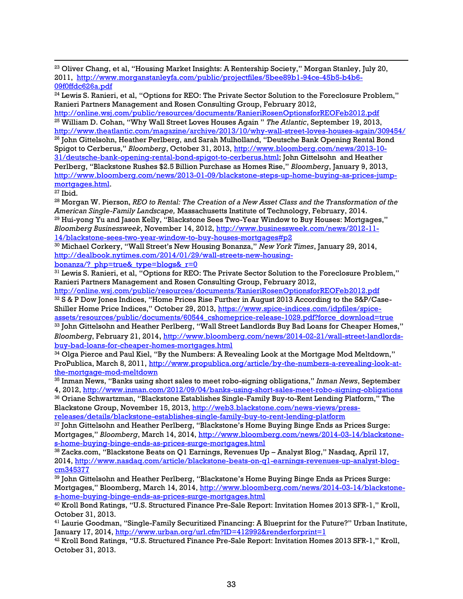<sup>23</sup> Oliver Chang, et al, "Housing Market Insights: A Rentership Society," Morgan Stanley, July 20, 2011, [http://www.morganstanleyfa.com/public/projectfiles/5bee89b1-94ce-45b5-b4b6-](http://www.morganstanleyfa.com/public/projectfiles/5bee89b1-94ce-45b5-b4b6-09f0ffdc626a.pdf) [09f0ffdc626a.pdf](http://www.morganstanleyfa.com/public/projectfiles/5bee89b1-94ce-45b5-b4b6-09f0ffdc626a.pdf)

<sup>24</sup> Lewis S. Ranieri, et al, "Options for REO: The Private Sector Solution to the Foreclosure Problem," Ranieri Partners Management and Rosen Consulting Group, February 2012,

<http://online.wsj.com/public/resources/documents/RanieriRosenOptionsforREOFeb2012.pdf> <sup>25</sup> William D. Cohan, "Why Wall Street Loves Houses Again " *The Atlantic*, September 19, 2013, <http://www.theatlantic.com/magazine/archive/2013/10/why-wall-street-loves-houses-again/309454/> <sup>26</sup> John Gittelsohn, Heather Perlberg, and Sarah Mulholland, "Deutsche Bank Opening Rental Bond Spigot to Cerberus," *Bloomberg*, October 31, 2013, [http://www.bloomberg.com/news/2013-10-](http://www.bloomberg.com/news/2013-10-31/deutsche-bank-opening-rental-bond-spigot-to-cerberus.html) [31/deutsche-bank-opening-rental-bond-spigot-to-cerberus.html;](http://www.bloomberg.com/news/2013-10-31/deutsche-bank-opening-rental-bond-spigot-to-cerberus.html) John Gittelsohn and Heather Perlberg, "Blackstone Rushes \$2.5 Billion Purchase as Homes Rise," *Bloomberg*, January 9, 2013, [http://www.bloomberg.com/news/2013-01-09/blackstone-steps-up-home-buying-as-prices-jump](http://www.bloomberg.com/news/2013-01-09/blackstone-steps-up-home-buying-as-prices-jump-mortgages.html)[mortgages.html.](http://www.bloomberg.com/news/2013-01-09/blackstone-steps-up-home-buying-as-prices-jump-mortgages.html)

 $27$  Ibid.

 $\overline{\phantom{a}}$ 

<sup>28</sup> Morgan W. Pierson, *REO to Rental: The Creation of a New Asset Class and the Transformation of the American Single-Family Landscape,* Massachusetts Institute of Technology, February, 2014. <sup>29</sup> Hui-yong Yu and Jason Kelly, "Blackstone Sees Two-Year Window to Buy Houses: Mortgages," *Bloomberg Businessweek*, November 14, 2012, [http://www.businessweek.com/news/2012-11-](http://www.businessweek.com/news/2012-11-14/blackstone-sees-two-year-window-to-buy-houses-mortgages%23p2) [14/blackstone-sees-two-year-window-to-buy-houses-mortgages#p2](http://www.businessweek.com/news/2012-11-14/blackstone-sees-two-year-window-to-buy-houses-mortgages%23p2)

<sup>30</sup> Michael Corkery, "Wall Street's New Housing Bonanza," *New York Times*, January 29, 2014, [http://dealbook.nytimes.com/2014/01/29/wall-streets-new-housing-](http://dealbook.nytimes.com/2014/01/29/wall-streets-new-housing-bonanza/?_php=true&_type=blogs&_r=0)

bonanza/? php=true& type=blogs& r=0

<sup>31</sup> Lewis S. Ranieri, et al, "Options for REO: The Private Sector Solution to the Foreclosure Problem," Ranieri Partners Management and Rosen Consulting Group, February 2012,

<http://online.wsj.com/public/resources/documents/RanieriRosenOptionsforREOFeb2012.pdf> 32 S & P Dow Jones Indices, "Home Prices Rise Further in August 2013 According to the S&P/Case-Shiller Home Price Indices," October 29, 2013, [https://www.spice-indices.com/idpfiles/spice](https://www.spice-indices.com/idpfiles/spice-assets/resources/public/documents/60544_cshomeprice-release-1029.pdf?force_download=true)[assets/resources/public/documents/60544\\_cshomeprice-release-1029.pdf?force\\_download=true](https://www.spice-indices.com/idpfiles/spice-assets/resources/public/documents/60544_cshomeprice-release-1029.pdf?force_download=true)

<sup>33</sup> John Gittelsohn and Heather Perlberg, "Wall Street Landlords Buy Bad Loans for Cheaper Homes," *Bloomberg*, February 21, 2014, [http://www.bloomberg.com/news/2014-02-21/wall-street-landlords](http://www.bloomberg.com/news/2014-02-21/wall-street-landlords-buy-bad-loans-for-cheaper-homes-mortgages.html)[buy-bad-loans-for-cheaper-homes-mortgages.html](http://www.bloomberg.com/news/2014-02-21/wall-street-landlords-buy-bad-loans-for-cheaper-homes-mortgages.html)

 $34$  Olga Pierce and Paul Kiel, "By the Numbers: A Revealing Look at the Mortgage Mod Meltdown," ProPublica, March 8, 2011, [http://www.propublica.org/article/by-the-numbers-a-revealing-look-at](http://www.propublica.org/article/by-the-numbers-a-revealing-look-at-the-mortgage-mod-meltdown)[the-mortgage-mod-meltdown](http://www.propublica.org/article/by-the-numbers-a-revealing-look-at-the-mortgage-mod-meltdown)

<sup>35</sup> Inman News, "Banks using short sales to meet robo-signing obligations," *Inman News*, September 4, 2012,<http://www.inman.com/2012/09/04/banks-using-short-sales-meet-robo-signing-obligations>

<sup>36</sup> Oriane Schwartzman, "Blackstone Establishes Single-Family Buy-to-Rent Lending Platform," The Blackstone Group, November 15, 2013, [http://web3.blackstone.com/news-views/press](http://web3.blackstone.com/news-views/press-releases/details/blackstone-establishes-single-family-buy-to-rent-lending-platform)[releases/details/blackstone-establishes-single-family-buy-to-rent-lending-platform](http://web3.blackstone.com/news-views/press-releases/details/blackstone-establishes-single-family-buy-to-rent-lending-platform)

 $37$  John Gittelsohn and Heather Perlberg, "Blackstone's Home Buying Binge Ends as Prices Surge: Mortgages," *Bloomberg*, March 14, 2014[, http://www.bloomberg.com/news/2014-03-14/blackstone](http://www.bloomberg.com/news/2014-03-14/blackstone-s-home-buying-binge-ends-as-prices-surge-mortgages.html)[s-home-buying-binge-ends-as-prices-surge-mortgages.html](http://www.bloomberg.com/news/2014-03-14/blackstone-s-home-buying-binge-ends-as-prices-surge-mortgages.html)

<sup>38</sup> Zacks.com, "Blackstone Beats on Q1 Earnings, Revenues Up – Analyst Blog," Nasdaq, April 17, 2014, [http://www.nasdaq.com/article/blackstone-beats-on-q1-earnings-revenues-up-analyst-blog](http://www.nasdaq.com/article/blackstone-beats-on-q1-earnings-revenues-up-analyst-blog-cm345377)[cm345377](http://www.nasdaq.com/article/blackstone-beats-on-q1-earnings-revenues-up-analyst-blog-cm345377)

<sup>39</sup> John Gittelsohn and Heather Perlberg, "Blackstone's Home Buying Binge Ends as Prices Surge: Mortgages," Bloomberg, March 14, 2014, [http://www.bloomberg.com/news/2014-03-14/blackstone](http://www.bloomberg.com/news/2014-03-14/blackstone-s-home-buying-binge-ends-as-prices-surge-mortgages.html)[s-home-buying-binge-ends-as-prices-surge-mortgages.html](http://www.bloomberg.com/news/2014-03-14/blackstone-s-home-buying-binge-ends-as-prices-surge-mortgages.html)

<sup>40</sup> Kroll Bond Ratings, "U.S. Structured Finance Pre-Sale Report: Invitation Homes 2013 SFR-1," Kroll, October 31, 2013.

<sup>41</sup> Laurie Goodman, "Single-Family Securitized Financing: A Blueprint for the Future?" Urban Institute, January 17, 2014,<http://www.urban.org/url.cfm?ID=412992&renderforprint=1>

 $^{42}$  Kroll Bond Ratings, "U.S. Structured Finance Pre-Sale Report: Invitation Homes 2013 SFR-1," Kroll, October 31, 2013.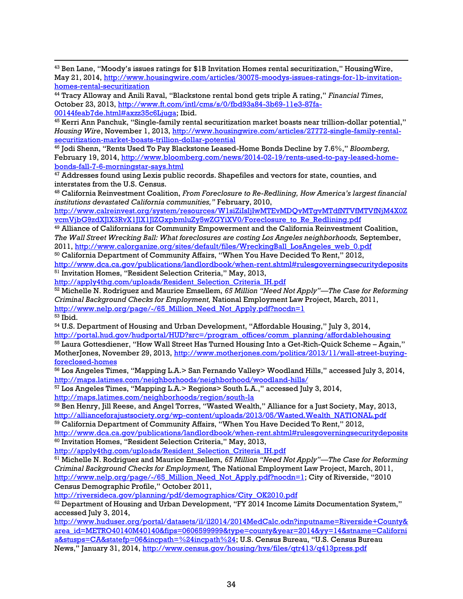<sup>43</sup> Ben Lane, "Moody's issues ratings for \$1B Invitation Homes rental securitization," HousingWire, May 21, 2014, [http://www.housingwire.com/articles/30075-moodys-issues-ratings-for-1b-invitation](http://www.housingwire.com/articles/30075-moodys-issues-ratings-for-1b-invitation-homes-rental-securitization)[homes-rental-securitization](http://www.housingwire.com/articles/30075-moodys-issues-ratings-for-1b-invitation-homes-rental-securitization)

<sup>44</sup> Tracy Alloway and Anili Raval, "Blackstone rental bond gets triple A rating," *Financial Times*, October 23, 2013, [http://www.ft.com/intl/cms/s/0/fbd93a84-3b69-11e3-87fa-](http://www.ft.com/intl/cms/s/0/fbd93a84-3b69-11e3-87fa-00144feab7de.html#axzz35c6Ljuga)[00144feab7de.html#axzz35c6Ljuga;](http://www.ft.com/intl/cms/s/0/fbd93a84-3b69-11e3-87fa-00144feab7de.html#axzz35c6Ljuga) Ibid.

<sup>45</sup> Kerri Ann Panchuk, "Single-family rental securitization market boasts near trillion-dollar potential," *Housing Wire*, November 1, 2013, [http://www.housingwire.com/articles/27772-single-family-rental](http://www.housingwire.com/articles/27772-single-family-rental-securitization-market-boasts-trillion-dollar-potential)[securitization-market-boasts-trillion-dollar-potential](http://www.housingwire.com/articles/27772-single-family-rental-securitization-market-boasts-trillion-dollar-potential)

<sup>46</sup> Jodi Shenn, "Rents Used To Pay Blackstone Leased-Home Bonds Decline by 7.6%," *Bloomberg,* February 19, 2014, [http://www.bloomberg.com/news/2014-02-19/rents-used-to-pay-leased-home](http://www.bloomberg.com/news/2014-02-19/rents-used-to-pay-leased-home-bonds-fall-7-6-morningstar-says.html)[bonds-fall-7-6-morningstar-says.html](http://www.bloomberg.com/news/2014-02-19/rents-used-to-pay-leased-home-bonds-fall-7-6-morningstar-says.html)

<sup>47</sup> Addresses found using Lexis public records. Shapefiles and vectors for state, counties, and interstates from the U.S. Census.

<sup>48</sup> California Reinvestment Coalition, *From Foreclosure to Re-Redlining, How America's largest financial institutions devastated California communities,"* February, 2010,

[http://www.calreinvest.org/system/resources/W1siZiIsIjIwMTEvMDQvMTgvMTdfNTVfMTVfNjM4X0Z](http://www.calreinvest.org/system/resources/W1siZiIsIjIwMTEvMDQvMTgvMTdfNTVfMTVfNjM4X0ZvcmVjbG9zdXJlX3RvX1JlX1JlZGxpbmluZy5wZGYiXV0/Foreclosure_to_Re_Redlining.pdf) [vcmVjbG9zdXJlX3RvX1JlX1JlZGxpbmluZy5wZGYiXV0/Foreclosure\\_to\\_Re\\_Redlining.pdf](http://www.calreinvest.org/system/resources/W1siZiIsIjIwMTEvMDQvMTgvMTdfNTVfMTVfNjM4X0ZvcmVjbG9zdXJlX3RvX1JlX1JlZGxpbmluZy5wZGYiXV0/Foreclosure_to_Re_Redlining.pdf)

<sup>49</sup> Alliance of Californians for Community Empowerment and the California Reinvestment Coalition, *The Wall Street Wrecking Ball: What foreclosures are costing Los Angeles neighborhoods,* September, 2011, [http://www.calorganize.org/sites/default/files/WreckingBall\\_LosAngeles\\_web\\_0.pdf](http://www.calorganize.org/sites/default/files/WreckingBall_LosAngeles_web_0.pdf)

<sup>50</sup> California Department of Community Affairs, "When You Have Decided To Rent," 2012, [http://www.dca.ca.gov/publications/landlordbook/when-rent.shtml#rulesgoverningsecuritydeposits](http://www.dca.ca.gov/publications/landlordbook/when-rent.shtml%23rulesgoverningsecuritydeposits) <sup>51</sup> Invitation Homes, "Resident Selection Criteria," May, 2013,

[http://apply4thg.com/uploads/Resident\\_Selection\\_Criteria\\_IH.pdf](http://apply4thg.com/uploads/Resident_Selection_Criteria_IH.pdf)

<sup>52</sup> Michelle N. Rodriguez and Maurice Emsellem, *65 Million "Need Not Apply"—The Case for Reforming Criminal Background Checks for Employment,* National Employment Law Project, March, 2011, [http://www.nelp.org/page/-/65\\_Million\\_Need\\_Not\\_Apply.pdf?nocdn=1](http://www.nelp.org/page/-/65_Million_Need_Not_Apply.pdf?nocdn=1)

<sup>53</sup> Ibid.

 $\overline{\phantom{a}}$ 

<sup>54</sup> U.S. Department of Housing and Urban Development, "Affordable Housing," July 3, 2014, [http://portal.hud.gov/hudportal/HUD?src=/program\\_offices/comm\\_planning/affordablehousing](http://portal.hud.gov/hudportal/HUD?src=/program_offices/comm_planning/affordablehousing) <sup>55</sup> Laura Gottesdiener, "How Wall Street Has Turned Housing Into a Get-Rich-Quick Scheme – Again," MotherJones, November 29, 2013, [http://www.motherjones.com/politics/2013/11/wall-street-buying-](http://www.motherjones.com/politics/2013/11/wall-street-buying-foreclosed-homes)

[foreclosed-homes](http://www.motherjones.com/politics/2013/11/wall-street-buying-foreclosed-homes)

<sup>56</sup> Los Angeles Times, "Mapping L.A.> San Fernando Valley> Woodland Hills," accessed July 3, 2014, <http://maps.latimes.com/neighborhoods/neighborhood/woodland-hills/>

<sup>57</sup> Los Angeles Times, "Mapping L.A.> Regions> South L.A.," accessed July 3, 2014, <http://maps.latimes.com/neighborhoods/region/south-la>

<sup>58</sup> Ben Henry, Jill Reese, and Angel Torres, "Wasted Wealth," Alliance for a Just Society, May, 2013, [http://allianceforajustsociety.org/wp-content/uploads/2013/05/Wasted.Wealth\\_NATIONAL.pdf](http://allianceforajustsociety.org/wp-content/uploads/2013/05/Wasted.Wealth_NATIONAL.pdf)

<sup>59</sup> California Department of Community Affairs, "When You Have Decided To Rent," 2012, [http://www.dca.ca.gov/publications/landlordbook/when-rent.shtml#rulesgoverningsecuritydeposits](http://www.dca.ca.gov/publications/landlordbook/when-rent.shtml%23rulesgoverningsecuritydeposits)

<sup>60</sup> Invitation Homes, "Resident Selection Criteria," May, 2013,

[http://apply4thg.com/uploads/Resident\\_Selection\\_Criteria\\_IH.pdf](http://apply4thg.com/uploads/Resident_Selection_Criteria_IH.pdf)

<sup>61</sup> Michelle N. Rodriguez and Maurice Emsellem, *65 Million "Need Not Apply"—The Case for Reforming Criminal Background Checks for Employment,* The National Employment Law Project, March, 2011, http://www.nelp.org/page/-/65 Million Need Not Apply.pdf?nocdn=1; City of Riverside, "2010 Census Demographic Profile," October 2011,

[http://riversideca.gov/planning/pdf/demographics/City\\_OK2010.pdf](http://riversideca.gov/planning/pdf/demographics/City_OK2010.pdf)

 $62$  Department of Housing and Urban Development, "FY 2014 Income Limits Documentation System," accessed July 3, 2014,

[http://www.huduser.org/portal/datasets/il/il2014/2014MedCalc.odn?inputname=Riverside+County&](http://www.huduser.org/portal/datasets/il/il2014/2014MedCalc.odn?inputname=Riverside+County&area_id=METRO40140M40140&fips=0606599999&type=county&year=2014&yy=14&stname=California&stusps=CA&statefp=06&incpath=%24incpath%24) [area\\_id=METRO40140M40140&fips=0606599999&type=county&year=2014&yy=14&stname=Californi](http://www.huduser.org/portal/datasets/il/il2014/2014MedCalc.odn?inputname=Riverside+County&area_id=METRO40140M40140&fips=0606599999&type=county&year=2014&yy=14&stname=California&stusps=CA&statefp=06&incpath=%24incpath%24) [a&stusps=CA&statefp=06&incpath=%24incpath%24](http://www.huduser.org/portal/datasets/il/il2014/2014MedCalc.odn?inputname=Riverside+County&area_id=METRO40140M40140&fips=0606599999&type=county&year=2014&yy=14&stname=California&stusps=CA&statefp=06&incpath=%24incpath%24); U.S. Census Bureau, "U.S. Census Bureau News," January 31, 2014, <http://www.census.gov/housing/hvs/files/qtr413/q413press.pdf>